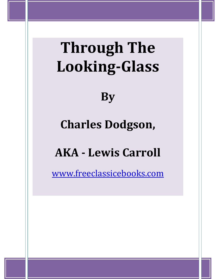# **Through The Looking-Glass**

**By** 

# **Charles Dodgson,**

# **AKA - Lewis Carroll**

www.freeclassicebooks.com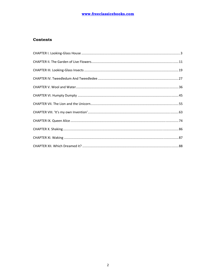# **Contents**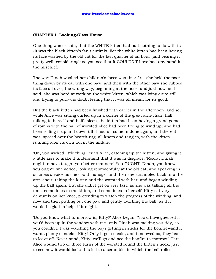### **CHAPTER I. Looking-Glass House**

One thing was certain, that the WHITE kitten had had nothing to do with it:- -it was the black kitten's fault entirely. For the white kitten had been having its face washed by the old cat for the last quarter of an hour (and bearing it pretty well, considering); so you see that it COULDN'T have had any hand in the mischief.

The way Dinah washed her children's faces was this: first she held the poor thing down by its ear with one paw, and then with the other paw she rubbed its face all over, the wrong way, beginning at the nose: and just now, as I said, she was hard at work on the white kitten, which was lying quite still and trying to purr--no doubt feeling that it was all meant for its good.

But the black kitten had been finished with earlier in the afternoon, and so, while Alice was sitting curled up in a corner of the great arm-chair, half talking to herself and half asleep, the kitten had been having a grand game of romps with the ball of worsted Alice had been trying to wind up, and had been rolling it up and down till it had all come undone again; and there it was, spread over the hearth-rug, all knots and tangles, with the kitten running after its own tail in the middle.

'Oh, you wicked little thing!' cried Alice, catching up the kitten, and giving it a little kiss to make it understand that it was in disgrace. 'Really, Dinah ought to have taught you better manners! You OUGHT, Dinah, you know you ought!' she added, looking reproachfully at the old cat, and speaking in as cross a voice as she could manage--and then she scrambled back into the arm-chair, taking the kitten and the worsted with her, and began winding up the ball again. But she didn't get on very fast, as she was talking all the time, sometimes to the kitten, and sometimes to herself. Kitty sat very demurely on her knee, pretending to watch the progress of the winding, and now and then putting out one paw and gently touching the ball, as if it would be glad to help, if it might.

'Do you know what to-morrow is, Kitty?' Alice began. 'You'd have guessed if you'd been up in the window with me--only Dinah was making you tidy, so you couldn't. I was watching the boys getting in sticks for the bonfire--and it wants plenty of sticks, Kitty! Only it got so cold, and it snowed so, they had to leave off. Never mind, Kitty, we'll go and see the bonfire to-morrow.' Here Alice wound two or three turns of the worsted round the kitten's neck, just to see how it would look: this led to a scramble, in which the ball rolled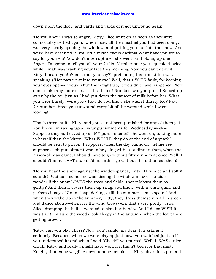down upon the floor, and yards and yards of it got unwound again.

'Do you know, I was so angry, Kitty,' Alice went on as soon as they were comfortably settled again, 'when I saw all the mischief you had been doing, I was very nearly opening the window, and putting you out into the snow! And you'd have deserved it, you little mischievous darling! What have you got to say for yourself? Now don't interrupt me!' she went on, holding up one finger. 'I'm going to tell you all your faults. Number one: you squeaked twice while Dinah was washing your face this morning. Now you can't deny it, Kitty: I heard you! What's that you say?' (pretending that the kitten was speaking.) 'Her paw went into your eye? Well, that's YOUR fault, for keeping your eyes open--if you'd shut them tight up, it wouldn't have happened. Now don't make any more excuses, but listen! Number two: you pulled Snowdrop away by the tail just as I had put down the saucer of milk before her! What, you were thirsty, were you? How do you know she wasn't thirsty too? Now for number three: you unwound every bit of the worsted while I wasn't looking!

'That's three faults, Kitty, and you've not been punished for any of them yet. You know I'm saving up all your punishments for Wednesday week-- Suppose they had saved up all MY punishments!' she went on, talking more to herself than the kitten. 'What WOULD they do at the end of a year? I should be sent to prison, I suppose, when the day came. Or--let me see- suppose each punishment was to be going without a dinner: then, when the miserable day came, I should have to go without fifty dinners at once! Well, I shouldn't mind THAT much! I'd far rather go without them than eat them!

'Do you hear the snow against the window-panes, Kitty? How nice and soft it sounds! Just as if some one was kissing the window all over outside. I wonder if the snow LOVES the trees and fields, that it kisses them so gently? And then it covers them up snug, you know, with a white quilt; and perhaps it says, "Go to sleep, darlings, till the summer comes again." And when they wake up in the summer, Kitty, they dress themselves all in green, and dance about--whenever the wind blows--oh, that's very pretty!' cried Alice, dropping the ball of worsted to clap her hands. 'And I do so WISH it was true! I'm sure the woods look sleepy in the autumn, when the leaves are getting brown.

'Kitty, can you play chess? Now, don't smile, my dear, I'm asking it seriously. Because, when we were playing just now, you watched just as if you understood it: and when I said "Check!" you purred! Well, it WAS a nice check, Kitty, and really I might have won, if it hadn't been for that nasty Knight, that came wiggling down among my pieces. Kitty, dear, let's pretend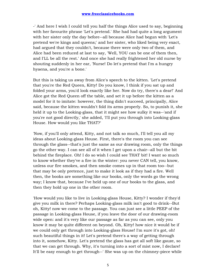-' And here I wish I could tell you half the things Alice used to say, beginning with her favourite phrase 'Let's pretend.' She had had quite a long argument with her sister only the day before--all because Alice had begun with 'Let's pretend we're kings and queens;' and her sister, who liked being very exact, had argued that they couldn't, because there were only two of them, and Alice had been reduced at last to say, 'Well, YOU can be one of them then, and I'LL be all the rest.' And once she had really frightened her old nurse by shouting suddenly in her ear, 'Nurse! Do let's pretend that I'm a hungry hyaena, and you're a bone.'

But this is taking us away from Alice's speech to the kitten. 'Let's pretend that you're the Red Queen, Kitty! Do you know, I think if you sat up and folded your arms, you'd look exactly like her. Now do try, there's a dear!' And Alice got the Red Queen off the table, and set it up before the kitten as a model for it to imitate: however, the thing didn't succeed, principally, Alice said, because the kitten wouldn't fold its arms properly. So, to punish it, she held it up to the Looking-glass, that it might see how sulky it was--'and if you're not good directly,' she added, 'I'll put you through into Looking-glass House. How would you like THAT?'

'Now, if you'll only attend, Kitty, and not talk so much, I'll tell you all my ideas about Looking-glass House. First, there's the room you can see through the glass--that's just the same as our drawing room, only the things go the other way. I can see all of it when I get upon a chair--all but the bit behind the fireplace. Oh! I do so wish I could see THAT bit! I want so much to know whether they've a fire in the winter: you never CAN tell, you know, unless our fire smokes, and then smoke comes up in that room too--but that may be only pretence, just to make it look as if they had a fire. Well then, the books are something like our books, only the words go the wrong way; I know that, because I've held up one of our books to the glass, and then they hold up one in the other room.

'How would you like to live in Looking-glass House, Kitty? I wonder if they'd give you milk in there? Perhaps Looking-glass milk isn't good to drink--But oh, Kitty! now we come to the passage. You can just see a little PEEP of the passage in Looking-glass House, if you leave the door of our drawing-room wide open: and it's very like our passage as far as you can see, only you know it may be quite different on beyond. Oh, Kitty! how nice it would be if we could only get through into Looking-glass House! I'm sure it's got, oh! such beautiful things in it! Let's pretend there's a way of getting through into it, somehow, Kitty. Let's pretend the glass has got all soft like gauze, so that we can get through. Why, it's turning into a sort of mist now, I declare! It'll be easy enough to get through--' She was up on the chimney-piece while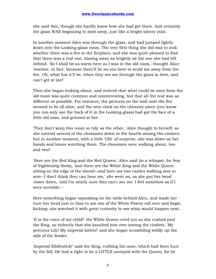she said this, though she hardly knew how she had got there. And certainly the glass WAS beginning to melt away, just like a bright silvery mist.

In another moment Alice was through the glass, and had jumped lightly down into the Looking-glass room. The very first thing she did was to look whether there was a fire in the fireplace, and she was quite pleased to find that there was a real one, blazing away as brightly as the one she had left behind. 'So I shall be as warm here as I was in the old room,' thought Alice: 'warmer, in fact, because there'll be no one here to scold me away from the fire. Oh, what fun it'll be, when they see me through the glass in here, and can't get at me!'

Then she began looking about, and noticed that what could be seen from the old room was quite common and uninteresting, but that all the rest was as different as possible. For instance, the pictures on the wall next the fire seemed to be all alive, and the very clock on the chimney-piece (you know you can only see the back of it in the Looking-glass) had got the face of a little old man, and grinned at her.

'They don't keep this room so tidy as the other,' Alice thought to herself, as she noticed several of the chessmen down in the hearth among the cinders: but in another moment, with a little 'Oh!' of surprise, she was down on her hands and knees watching them. The chessmen were walking about, two and two!

'Here are the Red King and the Red Queen,' Alice said (in a whisper, for fear of frightening them), 'and there are the White King and the White Queen sitting on the edge of the shovel--and here are two castles walking arm in arm--I don't think they can hear me,' she went on, as she put her head closer down, 'and I'm nearly sure they can't see me. I feel somehow as if I were invisible--'

Here something began squeaking on the table behind Alice, and made her turn her head just in time to see one of the White Pawns roll over and begin kicking: she watched it with great curiosity to see what would happen next.

'It is the voice of my child!' the White Queen cried out as she rushed past the King, so violently that she knocked him over among the cinders. 'My precious Lily! My imperial kitten!' and she began scrambling wildly up the side of the fender.

'Imperial fiddlestick!' said the King, rubbing his nose, which had been hurt by the fall. He had a right to be a LITTLE annoyed with the Queen, for he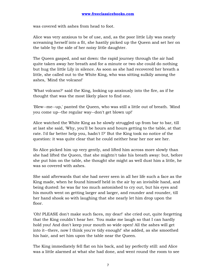was covered with ashes from head to foot.

Alice was very anxious to be of use, and, as the poor little Lily was nearly screaming herself into a fit, she hastily picked up the Queen and set her on the table by the side of her noisy little daughter.

The Queen gasped, and sat down: the rapid journey through the air had quite taken away her breath and for a minute or two she could do nothing but hug the little Lily in silence. As soon as she had recovered her breath a little, she called out to the White King, who was sitting sulkily among the ashes, 'Mind the volcano!'

'What volcano?' said the King, looking up anxiously into the fire, as if he thought that was the most likely place to find one.

'Blew--me--up,' panted the Queen, who was still a little out of breath. 'Mind you come up--the regular way--don't get blown up!'

Alice watched the White King as he slowly struggled up from bar to bar, till at last she said, 'Why, you'll be hours and hours getting to the table, at that rate. I'd far better help you, hadn't I?' But the King took no notice of the question: it was quite clear that he could neither hear her nor see her.

So Alice picked him up very gently, and lifted him across more slowly than she had lifted the Queen, that she mightn't take his breath away: but, before she put him on the table, she thought she might as well dust him a little, he was so covered with ashes.

She said afterwards that she had never seen in all her life such a face as the King made, when he found himself held in the air by an invisible hand, and being dusted: he was far too much astonished to cry out, but his eyes and his mouth went on getting larger and larger, and rounder and rounder, till her hand shook so with laughing that she nearly let him drop upon the floor.

'Oh! PLEASE don't make such faces, my dear!' she cried out, quite forgetting that the King couldn't hear her. 'You make me laugh so that I can hardly hold you! And don't keep your mouth so wide open! All the ashes will get into it--there, now I think you're tidy enough!' she added, as she smoothed his hair, and set him upon the table near the Queen.

The King immediately fell flat on his back, and lay perfectly still: and Alice was a little alarmed at what she had done, and went round the room to see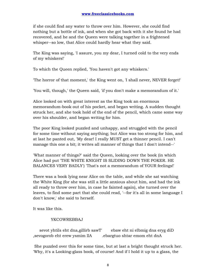if she could find any water to throw over him. However, she could find nothing but a bottle of ink, and when she got back with it she found he had recovered, and he and the Queen were talking together in a frightened whisper--so low, that Alice could hardly hear what they said.

The King was saying, 'I assure, you my dear, I turned cold to the very ends of my whiskers!'

To which the Queen replied, 'You haven't got any whiskers.'

'The horror of that moment,' the King went on, 'I shall never, NEVER forget!'

'You will, though,' the Queen said, 'if you don't make a memorandum of it.'

Alice looked on with great interest as the King took an enormous memorandum-book out of his pocket, and began writing. A sudden thought struck her, and she took hold of the end of the pencil, which came some way over his shoulder, and began writing for him.

The poor King looked puzzled and unhappy, and struggled with the pencil for some time without saying anything; but Alice was too strong for him, and at last he panted out, 'My dear! I really MUST get a thinner pencil. I can't manage this one a bit; it writes all manner of things that I don't intend--'

'What manner of things?' said the Queen, looking over the book (in which Alice had put 'THE WHITE KNIGHT IS SLIDING DOWN THE POKER. HE BALANCES VERY BADLY') 'That's not a memorandum of YOUR feelings!'

There was a book lying near Alice on the table, and while she sat watching the White King (for she was still a little anxious about him, and had the ink all ready to throw over him, in case he fainted again), she turned over the leaves, to find some part that she could read, '--for it's all in some language I don't know,' she said to herself.

It was like this.

# YKCOWREBBAJ

sevot yhtils eht dna, gillirb sawT' ebaw eht ni elbmig dna eryg diD , sevogorob eht erew ysmim llA .ebargtuo shtar emom eht dnA

 She puzzled over this for some time, but at last a bright thought struck her. 'Why, it's a Looking-glass book, of course! And if I hold it up to a glass, the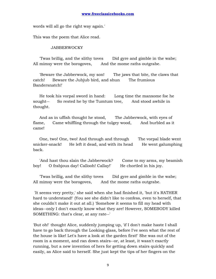words will all go the right way again.'

This was the poem that Alice read.

#### **JABBERWOCKY**

 'Twas brillig, and the slithy toves Did gyre and gimble in the wabe; All mimsy were the borogoves, And the mome raths outgrabe.

 'Beware the Jabberwock, my son! The jaws that bite, the claws that catch! Beware the Jubjub bird, and shun The frumious Bandersnatch!'

 He took his vorpal sword in hand: Long time the manxome foe he sought-- So rested he by the Tumtum tree, And stood awhile in thought.

 And as in uffish thought he stood, The Jabberwock, with eyes of flame, Came whiffling through the tulgey wood, And burbled as it came!

 One, two! One, two! And through and through The vorpal blade went snicker-snack! He left it dead, and with its head He went galumphing back.

 'And hast thou slain the Jabberwock? Come to my arms, my beamish boy! O frabjous day! Callooh! Callay! He chortled in his joy.

 'Twas brillig, and the slithy toves Did gyre and gimble in the wabe; All mimsy were the borogoves, And the mome raths outgrabe.

 'It seems very pretty,' she said when she had finished it, 'but it's RATHER hard to understand!' (You see she didn't like to confess, even to herself, that she couldn't make it out at all.) 'Somehow it seems to fill my head with ideas--only I don't exactly know what they are! However, SOMEBODY killed SOMETHING: that's clear, at any rate--'

'But oh!' thought Alice, suddenly jumping up, 'if I don't make haste I shall have to go back through the Looking-glass, before I've seen what the rest of the house is like! Let's have a look at the garden first!' She was out of the room in a moment, and ran down stairs--or, at least, it wasn't exactly running, but a new invention of hers for getting down stairs quickly and easily, as Alice said to herself. She just kept the tips of her fingers on the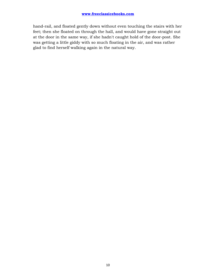hand-rail, and floated gently down without even touching the stairs with her feet; then she floated on through the hall, and would have gone straight out at the door in the same way, if she hadn't caught hold of the door-post. She was getting a little giddy with so much floating in the air, and was rather glad to find herself walking again in the natural way.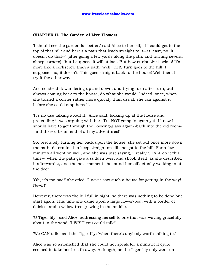# **CHAPTER II. The Garden of Live Flowers**

'I should see the garden far better,' said Alice to herself, 'if I could get to the top of that hill: and here's a path that leads straight to it--at least, no, it doesn't do that--' (after going a few yards along the path, and turning several sharp corners), 'but I suppose it will at last. But how curiously it twists! It's more like a corkscrew than a path! Well, THIS turn goes to the hill, I suppose--no, it doesn't! This goes straight back to the house! Well then, I'll try it the other way.'

And so she did: wandering up and down, and trying turn after turn, but always coming back to the house, do what she would. Indeed, once, when she turned a corner rather more quickly than usual, she ran against it before she could stop herself.

'It's no use talking about it,' Alice said, looking up at the house and pretending it was arguing with her. 'I'm NOT going in again yet. I know I should have to get through the Looking-glass again--back into the old room- -and there'd be an end of all my adventures!'

So, resolutely turning her back upon the house, she set out once more down the path, determined to keep straight on till she got to the hill. For a few minutes all went on well, and she was just saying, 'I really SHALL do it this time--' when the path gave a sudden twist and shook itself (as she described it afterwards), and the next moment she found herself actually walking in at the door.

'Oh, it's too bad!' she cried. 'I never saw such a house for getting in the way! Never!'

However, there was the hill full in sight, so there was nothing to be done but start again. This time she came upon a large flower-bed, with a border of daisies, and a willow-tree growing in the middle.

'O Tiger-lily,' said Alice, addressing herself to one that was waving gracefully about in the wind, 'I WISH you could talk!'

'We CAN talk,' said the Tiger-lily: 'when there's anybody worth talking to.'

Alice was so astonished that she could not speak for a minute: it quite seemed to take her breath away. At length, as the Tiger-lily only went on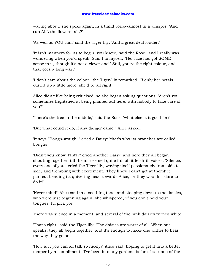waving about, she spoke again, in a timid voice--almost in a whisper. 'And can ALL the flowers talk?'

'As well as YOU can,' said the Tiger-lily. 'And a great deal louder.'

'It isn't manners for us to begin, you know,' said the Rose, 'and I really was wondering when you'd speak! Said I to myself, "Her face has got SOME sense in it, though it's not a clever one!" Still, you're the right colour, and that goes a long way.'

'I don't care about the colour,' the Tiger-lily remarked. 'If only her petals curled up a little more, she'd be all right.'

Alice didn't like being criticised, so she began asking questions. 'Aren't you sometimes frightened at being planted out here, with nobody to take care of you?'

'There's the tree in the middle,' said the Rose: 'what else is it good for?'

'But what could it do, if any danger came?' Alice asked.

'It says "Bough-wough!"' cried a Daisy: 'that's why its branches are called boughs!'

'Didn't you know THAT?' cried another Daisy, and here they all began shouting together, till the air seemed quite full of little shrill voices. 'Silence, every one of you!' cried the Tiger-lily, waving itself passionately from side to side, and trembling with excitement. 'They know I can't get at them!' it panted, bending its quivering head towards Alice, 'or they wouldn't dare to do it!'

'Never mind!' Alice said in a soothing tone, and stooping down to the daisies, who were just beginning again, she whispered, 'If you don't hold your tongues, I'll pick you!'

There was silence in a moment, and several of the pink daisies turned white.

'That's right!' said the Tiger-lily. 'The daisies are worst of all. When one speaks, they all begin together, and it's enough to make one wither to hear the way they go on!'

'How is it you can all talk so nicely?' Alice said, hoping to get it into a better temper by a compliment. 'I've been in many gardens before, but none of the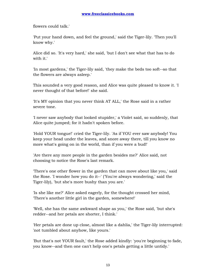flowers could talk.'

'Put your hand down, and feel the ground,' said the Tiger-lily. 'Then you'll know why.'

Alice did so. 'It's very hard,' she said, 'but I don't see what that has to do with it.'

'In most gardens,' the Tiger-lily said, 'they make the beds too soft--so that the flowers are always asleep.'

This sounded a very good reason, and Alice was quite pleased to know it. 'I never thought of that before!' she said.

'It's MY opinion that you never think AT ALL,' the Rose said in a rather severe tone.

'I never saw anybody that looked stupider,' a Violet said, so suddenly, that Alice quite jumped; for it hadn't spoken before.

'Hold YOUR tongue!' cried the Tiger-lily. 'As if YOU ever saw anybody! You keep your head under the leaves, and snore away there, till you know no more what's going on in the world, than if you were a bud!'

'Are there any more people in the garden besides me?' Alice said, not choosing to notice the Rose's last remark.

'There's one other flower in the garden that can move about like you,' said the Rose. 'I wonder how you do it--' ('You're always wondering,' said the Tiger-lily), 'but she's more bushy than you are.'

'Is she like me?' Alice asked eagerly, for the thought crossed her mind, 'There's another little girl in the garden, somewhere!'

'Well, she has the same awkward shape as you,' the Rose said, 'but she's redder--and her petals are shorter, I think.'

'Her petals are done up close, almost like a dahlia,' the Tiger-lily interrupted: 'not tumbled about anyhow, like yours.'

'But that's not YOUR fault,' the Rose added kindly: 'you're beginning to fade, you know--and then one can't help one's petals getting a little untidy.'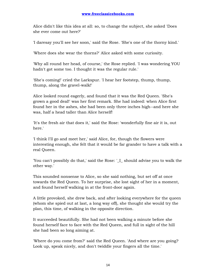Alice didn't like this idea at all: so, to change the subject, she asked 'Does she ever come out here?'

'I daresay you'll see her soon,' said the Rose. 'She's one of the thorny kind.'

'Where does she wear the thorns?' Alice asked with some curiosity.

'Why all round her head, of course,' the Rose replied. 'I was wondering YOU hadn't got some too. I thought it was the regular rule.'

'She's coming!' cried the Larkspur. 'I hear her footstep, thump, thump, thump, along the gravel-walk!'

Alice looked round eagerly, and found that it was the Red Queen. 'She's grown a good deal!' was her first remark. She had indeed: when Alice first found her in the ashes, she had been only three inches high--and here she was, half a head taller than Alice herself!

'It's the fresh air that does it,' said the Rose: 'wonderfully fine air it is, out here.'

'I think I'll go and meet her,' said Alice, for, though the flowers were interesting enough, she felt that it would be far grander to have a talk with a real Queen.

'You can't possibly do that,' said the Rose: '\_I\_ should advise you to walk the other way.'

This sounded nonsense to Alice, so she said nothing, but set off at once towards the Red Queen. To her surprise, she lost sight of her in a moment, and found herself walking in at the front-door again.

A little provoked, she drew back, and after looking everywhere for the queen (whom she spied out at last, a long way off), she thought she would try the plan, this time, of walking in the opposite direction.

It succeeded beautifully. She had not been walking a minute before she found herself face to face with the Red Queen, and full in sight of the hill she had been so long aiming at.

'Where do you come from?' said the Red Queen. 'And where are you going? Look up, speak nicely, and don't twiddle your fingers all the time.'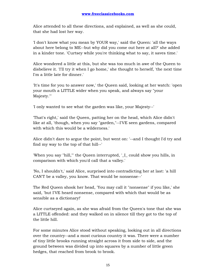Alice attended to all these directions, and explained, as well as she could, that she had lost her way.

'I don't know what you mean by YOUR way,' said the Queen: 'all the ways about here belong to ME--but why did you come out here at all?' she added in a kinder tone. 'Curtsey while you're thinking what to say, it saves time.'

Alice wondered a little at this, but she was too much in awe of the Queen to disbelieve it. 'I'll try it when I go home,' she thought to herself, 'the next time I'm a little late for dinner.'

'It's time for you to answer now,' the Queen said, looking at her watch: 'open your mouth a LITTLE wider when you speak, and always say "your Majesty."'

'I only wanted to see what the garden was like, your Majesty--'

'That's right,' said the Queen, patting her on the head, which Alice didn't like at all, 'though, when you say "garden,"--I'VE seen gardens, compared with which this would be a wilderness.'

Alice didn't dare to argue the point, but went on: '--and I thought I'd try and find my way to the top of that hill--'

'When you say "hill,"' the Queen interrupted, '\_I\_ could show you hills, in comparison with which you'd call that a valley.'

'No, I shouldn't,' said Alice, surprised into contradicting her at last: 'a hill CAN'T be a valley, you know. That would be nonsense--'

The Red Queen shook her head, 'You may call it "nonsense" if you like,' she said, 'but I'VE heard nonsense, compared with which that would be as sensible as a dictionary!'

Alice curtseyed again, as she was afraid from the Queen's tone that she was a LITTLE offended: and they walked on in silence till they got to the top of the little hill.

For some minutes Alice stood without speaking, looking out in all directions over the country--and a most curious country it was. There were a number of tiny little brooks running straight across it from side to side, and the ground between was divided up into squares by a number of little green hedges, that reached from brook to brook.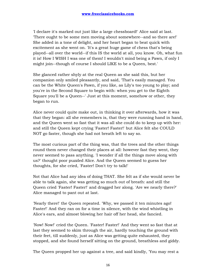'I declare it's marked out just like a large chessboard!' Alice said at last. 'There ought to be some men moving about somewhere--and so there are!' She added in a tone of delight, and her heart began to beat quick with excitement as she went on. 'It's a great huge game of chess that's being played--all over the world--if this IS the world at all, you know. Oh, what fun it is! How I WISH I was one of them! I wouldn't mind being a Pawn, if only I might join--though of course I should LIKE to be a Queen, best.'

She glanced rather shyly at the real Queen as she said this, but her companion only smiled pleasantly, and said, 'That's easily managed. You can be the White Queen's Pawn, if you like, as Lily's too young to play; and you're in the Second Square to begin with: when you get to the Eighth Square you'll be a Queen--' Just at this moment, somehow or other, they began to run.

Alice never could quite make out, in thinking it over afterwards, how it was that they began: all she remembers is, that they were running hand in hand, and the Queen went so fast that it was all she could do to keep up with her: and still the Queen kept crying 'Faster! Faster!' but Alice felt she COULD NOT go faster, though she had not breath left to say so.

The most curious part of the thing was, that the trees and the other things round them never changed their places at all: however fast they went, they never seemed to pass anything. 'I wonder if all the things move along with us?' thought poor puzzled Alice. And the Queen seemed to guess her thoughts, for she cried, 'Faster! Don't try to talk!'

Not that Alice had any idea of doing THAT. She felt as if she would never be able to talk again, she was getting so much out of breath: and still the Queen cried 'Faster! Faster!' and dragged her along. 'Are we nearly there?' Alice managed to pant out at last.

'Nearly there!' the Queen repeated. 'Why, we passed it ten minutes ago! Faster!' And they ran on for a time in silence, with the wind whistling in Alice's ears, and almost blowing her hair off her head, she fancied.

'Now! Now!' cried the Queen. 'Faster! Faster!' And they went so fast that at last they seemed to skim through the air, hardly touching the ground with their feet, till suddenly, just as Alice was getting quite exhausted, they stopped, and she found herself sitting on the ground, breathless and giddy.

The Queen propped her up against a tree, and said kindly, 'You may rest a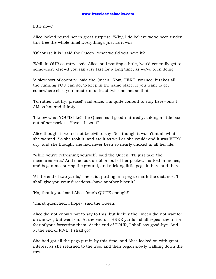little now.'

Alice looked round her in great surprise. 'Why, I do believe we've been under this tree the whole time! Everything's just as it was!'

'Of course it is,' said the Queen, 'what would you have it?'

'Well, in OUR country,' said Alice, still panting a little, 'you'd generally get to somewhere else--if you ran very fast for a long time, as we've been doing.'

'A slow sort of country!' said the Queen. 'Now, HERE, you see, it takes all the running YOU can do, to keep in the same place. If you want to get somewhere else, you must run at least twice as fast as that!'

'I'd rather not try, please!' said Alice. 'I'm quite content to stay here--only I AM so hot and thirsty!'

'I know what YOU'D like!' the Queen said good-naturedly, taking a little box out of her pocket. 'Have a biscuit?'

Alice thought it would not be civil to say 'No,' though it wasn't at all what she wanted. So she took it, and ate it as well as she could: and it was VERY dry; and she thought she had never been so nearly choked in all her life.

'While you're refreshing yourself,' said the Queen, 'I'll just take the measurements.' And she took a ribbon out of her pocket, marked in inches, and began measuring the ground, and sticking little pegs in here and there.

'At the end of two yards,' she said, putting in a peg to mark the distance, 'I shall give you your directions--have another biscuit?'

'No, thank you,' said Alice: 'one's QUITE enough!'

'Thirst quenched, I hope?' said the Queen.

Alice did not know what to say to this, but luckily the Queen did not wait for an answer, but went on. 'At the end of THREE yards I shall repeat them--for fear of your forgetting them. At the end of FOUR, I shall say good-bye. And at the end of FIVE, I shall go!'

She had got all the pegs put in by this time, and Alice looked on with great interest as she returned to the tree, and then began slowly walking down the row.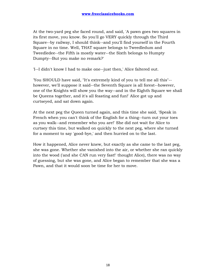At the two-yard peg she faced round, and said, 'A pawn goes two squares in its first move, you know. So you'll go VERY quickly through the Third Square--by railway, I should think--and you'll find yourself in the Fourth Square in no time. Well, THAT square belongs to Tweedledum and Tweedledee--the Fifth is mostly water--the Sixth belongs to Humpty Dumpty--But you make no remark?'

'I--I didn't know I had to make one--just then,' Alice faltered out.

'You SHOULD have said, "It's extremely kind of you to tell me all this"- however, we'll suppose it said--the Seventh Square is all forest--however, one of the Knights will show you the way--and in the Eighth Square we shall be Queens together, and it's all feasting and fun!' Alice got up and curtseyed, and sat down again.

At the next peg the Queen turned again, and this time she said, 'Speak in French when you can't think of the English for a thing--turn out your toes as you walk--and remember who you are!' She did not wait for Alice to curtsey this time, but walked on quickly to the next peg, where she turned for a moment to say 'good-bye,' and then hurried on to the last.

How it happened, Alice never knew, but exactly as she came to the last peg, she was gone. Whether she vanished into the air, or whether she ran quickly into the wood ('and she CAN run very fast!' thought Alice), there was no way of guessing, but she was gone, and Alice began to remember that she was a Pawn, and that it would soon be time for her to move.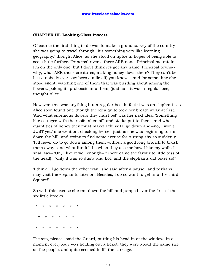### **CHAPTER III. Looking-Glass Insects**

Of course the first thing to do was to make a grand survey of the country she was going to travel through. 'It's something very like learning geography,' thought Alice, as she stood on tiptoe in hopes of being able to see a little further. 'Principal rivers--there ARE none. Principal mountains-- I'm on the only one, but I don't think it's got any name. Principal towns- why, what ARE those creatures, making honey down there? They can't be bees--nobody ever saw bees a mile off, you know--' and for some time she stood silent, watching one of them that was bustling about among the flowers, poking its proboscis into them, 'just as if it was a regular bee,' thought Alice.

However, this was anything but a regular bee: in fact it was an elephant--as Alice soon found out, though the idea quite took her breath away at first. 'And what enormous flowers they must be!' was her next idea. 'Something like cottages with the roofs taken off, and stalks put to them--and what quantities of honey they must make! I think I'll go down and--no, I won't JUST yet,' she went on, checking herself just as she was beginning to run down the hill, and trying to find some excuse for turning shy so suddenly. 'It'll never do to go down among them without a good long branch to brush them away--and what fun it'll be when they ask me how I like my walk. I shall say--"Oh, I like it well enough--"' (here came the favourite little toss of the head), '"only it was so dusty and hot, and the elephants did tease so!"'

'I think I'll go down the other way,' she said after a pause: 'and perhaps I may visit the elephants later on. Besides, I do so want to get into the Third Square!'

So with this excuse she ran down the hill and jumped over the first of the six little brooks.

 \* \* \* \* \* \* \* \* \* \* \* \* \* \* \* \* \* \* \* \*

'Tickets, please!' said the Guard, putting his head in at the window. In a moment everybody was holding out a ticket: they were about the same size as the people, and quite seemed to fill the carriage.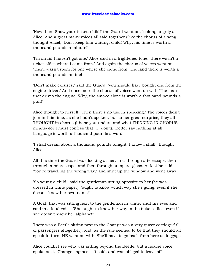'Now then! Show your ticket, child!' the Guard went on, looking angrily at Alice. And a great many voices all said together ('like the chorus of a song,' thought Alice), 'Don't keep him waiting, child! Why, his time is worth a thousand pounds a minute!'

'I'm afraid I haven't got one,' Alice said in a frightened tone: 'there wasn't a ticket-office where I came from.' And again the chorus of voices went on. 'There wasn't room for one where she came from. The land there is worth a thousand pounds an inch!'

'Don't make excuses,' said the Guard: 'you should have bought one from the engine-driver.' And once more the chorus of voices went on with 'The man that drives the engine. Why, the smoke alone is worth a thousand pounds a puff!'

Alice thought to herself, 'Then there's no use in speaking.' The voices didn't join in this time, as she hadn't spoken, but to her great surprise, they all THOUGHT in chorus (I hope you understand what THINKING IN CHORUS means--for I must confess that \_I\_ don't), 'Better say nothing at all. Language is worth a thousand pounds a word!'

'I shall dream about a thousand pounds tonight, I know I shall!' thought Alice.

All this time the Guard was looking at her, first through a telescope, then through a microscope, and then through an opera-glass. At last he said, 'You're travelling the wrong way,' and shut up the window and went away.

'So young a child,' said the gentleman sitting opposite to her (he was dressed in white paper), 'ought to know which way she's going, even if she doesn't know her own name!'

A Goat, that was sitting next to the gentleman in white, shut his eyes and said in a loud voice, 'She ought to know her way to the ticket-office, even if she doesn't know her alphabet!'

There was a Beetle sitting next to the Goat (it was a very queer carriage-full of passengers altogether), and, as the rule seemed to be that they should all speak in turn, HE went on with 'She'll have to go back from here as luggage!'

Alice couldn't see who was sitting beyond the Beetle, but a hoarse voice spoke next. 'Change engines--' it said, and was obliged to leave off.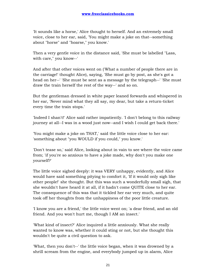'It sounds like a horse,' Alice thought to herself. And an extremely small voice, close to her ear, said, 'You might make a joke on that--something about "horse" and "hoarse," you know.'

Then a very gentle voice in the distance said, 'She must be labelled "Lass, with care," you know--'

And after that other voices went on ('What a number of people there are in the carriage!' thought Alice), saying, 'She must go by post, as she's got a head on her--' 'She must be sent as a message by the telegraph--' 'She must draw the train herself the rest of the way--' and so on.

But the gentleman dressed in white paper leaned forwards and whispered in her ear, 'Never mind what they all say, my dear, but take a return-ticket every time the train stops.'

'Indeed I shan't!' Alice said rather impatiently. 'I don't belong to this railway journey at all--I was in a wood just now--and I wish I could get back there.'

'You might make a joke on THAT,' said the little voice close to her ear: 'something about "you WOULD if you could," you know.'

'Don't tease so,' said Alice, looking about in vain to see where the voice came from; 'if you're so anxious to have a joke made, why don't you make one yourself?'

The little voice sighed deeply: it was VERY unhappy, evidently, and Alice would have said something pitying to comfort it, 'If it would only sigh like other people!' she thought. But this was such a wonderfully small sigh, that she wouldn't have heard it at all, if it hadn't come QUITE close to her ear. The consequence of this was that it tickled her ear very much, and quite took off her thoughts from the unhappiness of the poor little creature.

'I know you are a friend,' the little voice went on; 'a dear friend, and an old friend. And you won't hurt me, though I AM an insect.'

'What kind of insect?' Alice inquired a little anxiously. What she really wanted to know was, whether it could sting or not, but she thought this wouldn't be quite a civil question to ask.

'What, then you don't--' the little voice began, when it was drowned by a shrill scream from the engine, and everybody jumped up in alarm, Alice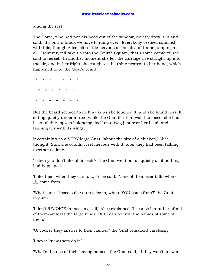among the rest.

The Horse, who had put his head out of the window, quietly drew it in and said, 'It's only a brook we have to jump over.' Everybody seemed satisfied with this, though Alice felt a little nervous at the idea of trains jumping at all. 'However, it'll take us into the Fourth Square, that's some comfort!' she said to herself. In another moment she felt the carriage rise straight up into the air, and in her fright she caught at the thing nearest to her hand, which happened to be the Goat's beard.

 \* \* \* \* \* \* \* \* \* \* \* \* \* \* \* \* \* \* \* \*

But the beard seemed to melt away as she touched it, and she found herself sitting quietly under a tree--while the Gnat (for that was the insect she had been talking to) was balancing itself on a twig just over her head, and fanning her with its wings.

It certainly was a VERY large Gnat: 'about the size of a chicken,' Alice thought. Still, she couldn't feel nervous with it, after they had been talking together so long.

'--then you don't like all insects?' the Gnat went on, as quietly as if nothing had happened.

'I like them when they can talk,' Alice said. 'None of them ever talk, where \_I\_ come from.'

'What sort of insects do you rejoice in, where YOU come from?' the Gnat inquired.

'I don't REJOICE in insects at all,' Alice explained, 'because I'm rather afraid of them--at least the large kinds. But I can tell you the names of some of them.'

'Of course they answer to their names?' the Gnat remarked carelessly.

'I never knew them do it.'

'What's the use of their having names,' the Gnat said, 'if they won't answer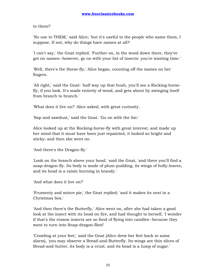to them?'

'No use to THEM,' said Alice; 'but it's useful to the people who name them, I suppose. If not, why do things have names at all?'

'I can't say,' the Gnat replied. 'Further on, in the wood down there, they've got no names--however, go on with your list of insects: you're wasting time.'

'Well, there's the Horse-fly,' Alice began, counting off the names on her fingers.

'All right,' said the Gnat: 'half way up that bush, you'll see a Rocking-horsefly, if you look. It's made entirely of wood, and gets about by swinging itself from branch to branch.'

'What does it live on?' Alice asked, with great curiosity.

'Sap and sawdust,' said the Gnat. 'Go on with the list.'

Alice looked up at the Rocking-horse-fly with great interest, and made up her mind that it must have been just repainted, it looked so bright and sticky; and then she went on.

'And there's the Dragon-fly.'

'Look on the branch above your head,' said the Gnat, 'and there you'll find a snap-dragon-fly. Its body is made of plum-pudding, its wings of holly-leaves, and its head is a raisin burning in brandy.'

'And what does it live on?'

'Frumenty and mince pie,' the Gnat replied; 'and it makes its nest in a Christmas box.'

'And then there's the Butterfly,' Alice went on, after she had taken a good look at the insect with its head on fire, and had thought to herself, 'I wonder if that's the reason insects are so fond of flying into candles--because they want to turn into Snap-dragon-flies!'

'Crawling at your feet,' said the Gnat (Alice drew her feet back in some alarm), 'you may observe a Bread-and-Butterfly. Its wings are thin slices of Bread-and-butter, its body is a crust, and its head is a lump of sugar.'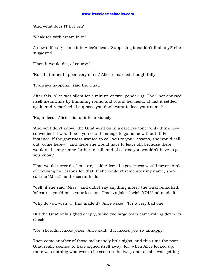'And what does IT live on?'

'Weak tea with cream in it.'

A new difficulty came into Alice's head. 'Supposing it couldn't find any?' she suggested.

'Then it would die, of course.'

'But that must happen very often,' Alice remarked thoughtfully.

'It always happens,' said the Gnat.

After this, Alice was silent for a minute or two, pondering. The Gnat amused itself meanwhile by humming round and round her head: at last it settled again and remarked, 'I suppose you don't want to lose your name?'

'No, indeed,' Alice said, a little anxiously.

'And yet I don't know,' the Gnat went on in a careless tone: 'only think how convenient it would be if you could manage to go home without it! For instance, if the governess wanted to call you to your lessons, she would call out "come here--," and there she would have to leave off, because there wouldn't be any name for her to call, and of course you wouldn't have to go, you know.'

'That would never do, I'm sure,' said Alice: 'the governess would never think of excusing me lessons for that. If she couldn't remember my name, she'd call me "Miss!" as the servants do.'

'Well, if she said "Miss," and didn't say anything more,' the Gnat remarked, 'of course you'd miss your lessons. That's a joke. I wish YOU had made it.'

'Why do you wish \_I\_ had made it?' Alice asked. 'It's a very bad one.'

But the Gnat only sighed deeply, while two large tears came rolling down its cheeks.

'You shouldn't make jokes,' Alice said, 'if it makes you so unhappy.'

Then came another of those melancholy little sighs, and this time the poor Gnat really seemed to have sighed itself away, for, when Alice looked up, there was nothing whatever to be seen on the twig, and, as she was getting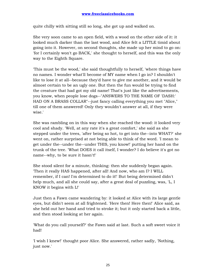quite chilly with sitting still so long, she got up and walked on.

She very soon came to an open field, with a wood on the other side of it: it looked much darker than the last wood, and Alice felt a LITTLE timid about going into it. However, on second thoughts, she made up her mind to go on: 'for I certainly won't go BACK,' she thought to herself, and this was the only way to the Eighth Square.

'This must be the wood,' she said thoughtfully to herself, 'where things have no names. I wonder what'll become of MY name when I go in? I shouldn't like to lose it at all--because they'd have to give me another, and it would be almost certain to be an ugly one. But then the fun would be trying to find the creature that had got my old name! That's just like the advertisements, you know, when people lose dogs--"ANSWERS TO THE NAME OF 'DASH:' HAD ON A BRASS COLLAR"--just fancy calling everything you met "Alice," till one of them answered! Only they wouldn't answer at all, if they were wise.'

She was rambling on in this way when she reached the wood: it looked very cool and shady. 'Well, at any rate it's a great comfort,' she said as she stepped under the trees, 'after being so hot, to get into the--into WHAT?' she went on, rather surprised at not being able to think of the word. 'I mean to get under the--under the--under THIS, you know!' putting her hand on the trunk of the tree. 'What DOES it call itself, I wonder? I do believe it's got no name--why, to be sure it hasn't!'

She stood silent for a minute, thinking: then she suddenly began again. 'Then it really HAS happened, after all! And now, who am I? I WILL remember, if I can! I'm determined to do it!' But being determined didn't help much, and all she could say, after a great deal of puzzling, was, 'L, I KNOW it begins with L!'

Just then a Fawn came wandering by: it looked at Alice with its large gentle eyes, but didn't seem at all frightened. 'Here then! Here then!' Alice said, as she held out her hand and tried to stroke it; but it only started back a little, and then stood looking at her again.

'What do you call yourself?' the Fawn said at last. Such a soft sweet voice it had!

'I wish I knew!' thought poor Alice. She answered, rather sadly, 'Nothing, just now.'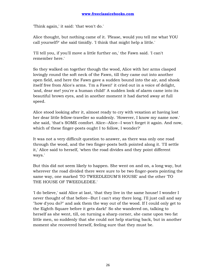'Think again,' it said: 'that won't do.'

Alice thought, but nothing came of it. 'Please, would you tell me what YOU call yourself?' she said timidly. 'I think that might help a little.'

'I'll tell you, if you'll move a little further on,' the Fawn said. 'I can't remember here.'

So they walked on together though the wood, Alice with her arms clasped lovingly round the soft neck of the Fawn, till they came out into another open field, and here the Fawn gave a sudden bound into the air, and shook itself free from Alice's arms. 'I'm a Fawn!' it cried out in a voice of delight, 'and, dear me! you're a human child!' A sudden look of alarm came into its beautiful brown eyes, and in another moment it had darted away at full speed.

Alice stood looking after it, almost ready to cry with vexation at having lost her dear little fellow-traveller so suddenly. 'However, I know my name now.' she said, 'that's SOME comfort. Alice--Alice--I won't forget it again. And now, which of these finger-posts ought I to follow, I wonder?'

It was not a very difficult question to answer, as there was only one road through the wood, and the two finger-posts both pointed along it. 'I'll settle it,' Alice said to herself, 'when the road divides and they point different ways.'

But this did not seem likely to happen. She went on and on, a long way, but wherever the road divided there were sure to be two finger-posts pointing the same way, one marked 'TO TWEEDLEDUM'S HOUSE' and the other 'TO THE HOUSE OF TWEEDLEDEE.'

'I do believe,' said Alice at last, 'that they live in the same house! I wonder I never thought of that before--But I can't stay there long. I'll just call and say "how d'you do?" and ask them the way out of the wood. If I could only get to the Eighth Square before it gets dark!' So she wandered on, talking to herself as she went, till, on turning a sharp corner, she came upon two fat little men, so suddenly that she could not help starting back, but in another moment she recovered herself, feeling sure that they must be.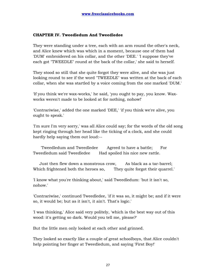# **CHAPTER IV. Tweedledum And Tweedledee**

They were standing under a tree, each with an arm round the other's neck, and Alice knew which was which in a moment, because one of them had 'DUM' embroidered on his collar, and the other 'DEE.' 'I suppose they've each got "TWEEDLE" round at the back of the collar,' she said to herself.

They stood so still that she quite forgot they were alive, and she was just looking round to see if the word "TWEEDLE" was written at the back of each collar, when she was startled by a voice coming from the one marked 'DUM.'

'If you think we're wax-works,' he said, 'you ought to pay, you know. Waxworks weren't made to be looked at for nothing, nohow!'

'Contrariwise,' added the one marked 'DEE,' 'if you think we're alive, you ought to speak.'

'I'm sure I'm very sorry,' was all Alice could say; for the words of the old song kept ringing through her head like the ticking of a clock, and she could hardly help saying them out loud:--

 'Tweedledum and Tweedledee Agreed to have a battle; For Tweedledum said Tweedledee Had spoiled his nice new rattle.

 Just then flew down a monstrous crow, As black as a tar-barrel; Which frightened both the heroes so, They quite forgot their quarrel.'

'I know what you're thinking about,' said Tweedledum: 'but it isn't so, nohow.'

'Contrariwise,' continued Tweedledee, 'if it was so, it might be; and if it were so, it would be; but as it isn't, it ain't. That's logic.'

'I was thinking,' Alice said very politely, 'which is the best way out of this wood: it's getting so dark. Would you tell me, please?'

But the little men only looked at each other and grinned.

They looked so exactly like a couple of great schoolboys, that Alice couldn't help pointing her finger at Tweedledum, and saying 'First Boy!'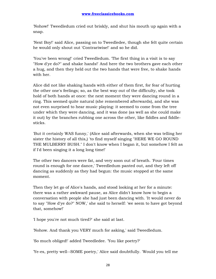'Nohow!' Tweedledum cried out briskly, and shut his mouth up again with a snap.

'Next Boy!' said Alice, passing on to Tweedledee, though she felt quite certain he would only shout out 'Contrariwise!' and so he did.

'You've been wrong!' cried Tweedledum. 'The first thing in a visit is to say "How d'ye do?" and shake hands!' And here the two brothers gave each other a hug, and then they held out the two hands that were free, to shake hands with her.

Alice did not like shaking hands with either of them first, for fear of hurting the other one's feelings; so, as the best way out of the difficulty, she took hold of both hands at once: the next moment they were dancing round in a ring. This seemed quite natural (she remembered afterwards), and she was not even surprised to hear music playing: it seemed to come from the tree under which they were dancing, and it was done (as well as she could make it out) by the branches rubbing one across the other, like fiddles and fiddlesticks.

'But it certainly WAS funny,' (Alice said afterwards, when she was telling her sister the history of all this,) 'to find myself singing "HERE WE GO ROUND THE MULBERRY BUSH." I don't know when I began it, but somehow I felt as if I'd been singing it a long long time!'

The other two dancers were fat, and very soon out of breath. 'Four times round is enough for one dance,' Tweedledum panted out, and they left off dancing as suddenly as they had begun: the music stopped at the same moment.

Then they let go of Alice's hands, and stood looking at her for a minute: there was a rather awkward pause, as Alice didn't know how to begin a conversation with people she had just been dancing with. 'It would never do to say "How d'ye do?" NOW,' she said to herself: 'we seem to have got beyond that, somehow!'

'I hope you're not much tired?' she said at last.

'Nohow. And thank you VERY much for asking,' said Tweedledum.

'So much obliged!' added Tweedledee. 'You like poetry?'

'Ye-es, pretty well--SOME poetry,' Alice said doubtfully. 'Would you tell me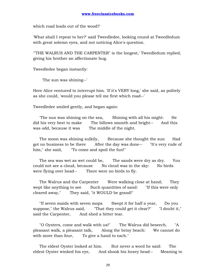which road leads out of the wood?'

'What shall I repeat to her?' said Tweedledee, looking round at Tweedledum with great solemn eyes, and not noticing Alice's question.

'"THE WALRUS AND THE CARPENTER" is the longest,' Tweedledum replied, giving his brother an affectionate hug.

Tweedledee began instantly:

'The sun was shining--'

Here Alice ventured to interrupt him. 'If it's VERY long,' she said, as politely as she could, 'would you please tell me first which road--'

Tweedledee smiled gently, and began again:

 'The sun was shining on the sea, Shining with all his might: He did his very best to make The billows smooth and bright-- And this was odd, because it was The middle of the night.

 The moon was shining sulkily, Because she thought the sun Had got no business to be there After the day was done-- "It's very rude of him," she said, "To come and spoil the fun!"

 The sea was wet as wet could be, The sands were dry as dry. You could not see a cloud, because No cloud was in the sky: No birds were flying over head-- There were no birds to fly.

The Walrus and the Carpenter Were walking close at hand; They wept like anything to see Such quantities of sand: "If this were only cleared away," They said, "it WOULD be grand!"

 "If seven maids with seven mops Swept it for half a year, Do you suppose," the Walrus said, "That they could get it clear?" "I doubt it," said the Carpenter, And shed a bitter tear.

 "O Oysters, come and walk with us!" The Walrus did beseech. "A pleasant walk, a pleasant talk, Along the briny beach: We cannot do with more than four, To give a hand to each."

 The eldest Oyster looked at him. But never a word he said: The eldest Oyster winked his eye, And shook his heavy head-- Meaning to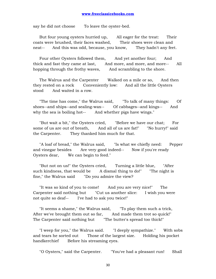say he did not choose To leave the oyster-bed.

 But four young oysters hurried up, All eager for the treat: Their coats were brushed, their faces washed, Their shoes were clean and neat-- And this was odd, because, you know, They hadn't any feet.

 Four other Oysters followed them, And yet another four; And thick and fast they came at last, And more, and more, and more-- All hopping through the frothy waves, And scrambling to the shore.

 The Walrus and the Carpenter Walked on a mile or so, And then they rested on a rock Conveniently low: And all the little Oysters stood And waited in a row.

 "The time has come," the Walrus said, "To talk of many things: Of shoes--and ships--and sealing-wax-- Of cabbages--and kings-- And why the sea is boiling hot-- And whether pigs have wings."

 "But wait a bit," the Oysters cried, "Before we have our chat; For some of us are out of breath, And all of us are fat!" "No hurry!" said the Carpenter. They thanked him much for that.

 "A loaf of bread," the Walrus said, "Is what we chiefly need: Pepper and vinegar besides Are very good indeed-- Now if you're ready Oysters dear, We can begin to feed."

 "But not on us!" the Oysters cried, Turning a little blue, "After such kindness, that would be A dismal thing to do!" "The night is fine," the Walrus said "Do you admire the view?

 "It was so kind of you to come! And you are very nice!" The Carpenter said nothing but "Cut us another slice: I wish you were not quite so deaf-- I've had to ask you twice!"

 "It seems a shame," the Walrus said, "To play them such a trick, After we've brought them out so far, And made them trot so quick!" The Carpenter said nothing but "The butter's spread too thick!"

 "I weep for you," the Walrus said. "I deeply sympathize." With sobs and tears he sorted out Those of the largest size. Holding his pocket handkerchief Before his streaming eyes.

"O Oysters," said the Carpenter. "You've had a pleasant run! Shall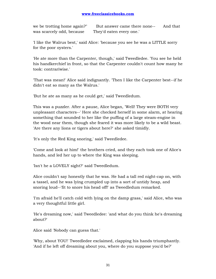we be trotting home again?" But answer came there none-- And that was scarcely odd, because They'd eaten every one.'

'I like the Walrus best,' said Alice: 'because you see he was a LITTLE sorry for the poor oysters.'

'He ate more than the Carpenter, though,' said Tweedledee. 'You see he held his handkerchief in front, so that the Carpenter couldn't count how many he took: contrariwise.'

'That was mean!' Alice said indignantly. 'Then I like the Carpenter best--if he didn't eat so many as the Walrus.'

'But he ate as many as he could get,' said Tweedledum.

This was a puzzler. After a pause, Alice began, 'Well! They were BOTH very unpleasant characters--' Here she checked herself in some alarm, at hearing something that sounded to her like the puffing of a large steam-engine in the wood near them, though she feared it was more likely to be a wild beast. 'Are there any lions or tigers about here?' she asked timidly.

'It's only the Red King snoring,' said Tweedledee.

'Come and look at him!' the brothers cried, and they each took one of Alice's hands, and led her up to where the King was sleeping.

'Isn't he a LOVELY sight?' said Tweedledum.

Alice couldn't say honestly that he was. He had a tall red night-cap on, with a tassel, and he was lying crumpled up into a sort of untidy heap, and snoring loud--'fit to snore his head off!' as Tweedledum remarked.

'I'm afraid he'll catch cold with lying on the damp grass,' said Alice, who was a very thoughtful little girl.

'He's dreaming now,' said Tweedledee: 'and what do you think he's dreaming about?'

Alice said 'Nobody can guess that.'

'Why, about YOU!' Tweedledee exclaimed, clapping his hands triumphantly. 'And if he left off dreaming about you, where do you suppose you'd be?'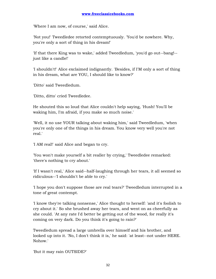'Where I am now, of course,' said Alice.

'Not you!' Tweedledee retorted contemptuously. 'You'd be nowhere. Why, you're only a sort of thing in his dream!'

'If that there King was to wake,' added Tweedledum, 'you'd go out--bang!- just like a candle!'

'I shouldn't!' Alice exclaimed indignantly. 'Besides, if I'M only a sort of thing in his dream, what are YOU, I should like to know?'

'Ditto' said Tweedledum.

'Ditto, ditto' cried Tweedledee.

He shouted this so loud that Alice couldn't help saying, 'Hush! You'll be waking him, I'm afraid, if you make so much noise.'

'Well, it no use YOUR talking about waking him,' said Tweedledum, 'when you're only one of the things in his dream. You know very well you're not real.'

'I AM real!' said Alice and began to cry.

'You won't make yourself a bit realler by crying,' Tweedledee remarked: 'there's nothing to cry about.'

'If I wasn't real,' Alice said--half-laughing through her tears, it all seemed so ridiculous--'I shouldn't be able to cry.'

'I hope you don't suppose those are real tears?' Tweedledum interrupted in a tone of great contempt.

'I know they're talking nonsense,' Alice thought to herself: 'and it's foolish to cry about it.' So she brushed away her tears, and went on as cheerfully as she could. 'At any rate I'd better be getting out of the wood, for really it's coming on very dark. Do you think it's going to rain?'

Tweedledum spread a large umbrella over himself and his brother, and looked up into it. 'No, I don't think it is,' he said: 'at least--not under HERE. Nohow.'

'But it may rain OUTSIDE?'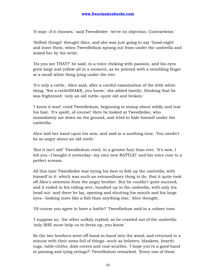'It may--if it chooses,' said Tweedledee: 'we've no objection. Contrariwise.'

'Selfish things!' thought Alice, and she was just going to say 'Good-night' and leave them, when Tweedledum sprang out from under the umbrella and seized her by the wrist.

'Do you see THAT?' he said, in a voice choking with passion, and his eyes grew large and yellow all in a moment, as he pointed with a trembling finger at a small white thing lying under the tree.

'It's only a rattle,' Alice said, after a careful examination of the little white thing. 'Not a rattleSNAKE, you know,' she added hastily, thinking that he was frightened: 'only an old rattle--quite old and broken.'

'I knew it was!' cried Tweedledum, beginning to stamp about wildly and tear his hair. 'It's spoilt, of course!' Here he looked at Tweedledee, who immediately sat down on the ground, and tried to hide himself under the umbrella.

Alice laid her hand upon his arm, and said in a soothing tone, 'You needn't be so angry about an old rattle.'

'But it isn't old!' Tweedledum cried, in a greater fury than ever. 'It's new, I tell you--I bought it yesterday--my nice new RATTLE!' and his voice rose to a perfect scream.

All this time Tweedledee was trying his best to fold up the umbrella, with himself in it: which was such an extraordinary thing to do, that it quite took off Alice's attention from the angry brother. But he couldn't quite succeed, and it ended in his rolling over, bundled up in the umbrella, with only his head out: and there he lay, opening and shutting his mouth and his large eyes--'looking more like a fish than anything else,' Alice thought.

'Of course you agree to have a battle?' Tweedledum said in a calmer tone.

'I suppose so,' the other sulkily replied, as he crawled out of the umbrella: 'only SHE must help us to dress up, you know.'

So the two brothers went off hand-in-hand into the wood, and returned in a minute with their arms full of things--such as bolsters, blankets, hearthrugs, table-cloths, dish-covers and coal-scuttles. 'I hope you're a good hand at pinning and tying strings?' Tweedledum remarked. 'Every one of these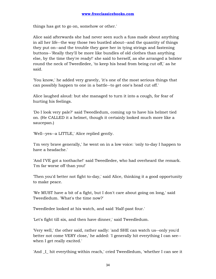things has got to go on, somehow or other.'

Alice said afterwards she had never seen such a fuss made about anything in all her life--the way those two bustled about--and the quantity of things they put on--and the trouble they gave her in tying strings and fastening buttons--'Really they'll be more like bundles of old clothes than anything else, by the time they're ready!' she said to herself, as she arranged a bolster round the neck of Tweedledee, 'to keep his head from being cut off,' as he said.

'You know,' he added very gravely, 'it's one of the most serious things that can possibly happen to one in a battle--to get one's head cut off.'

Alice laughed aloud: but she managed to turn it into a cough, for fear of hurting his feelings.

'Do I look very pale?' said Tweedledum, coming up to have his helmet tied on. (He CALLED it a helmet, though it certainly looked much more like a saucepan.)

'Well--yes--a LITTLE,' Alice replied gently.

'I'm very brave generally,' he went on in a low voice: 'only to-day I happen to have a headache.'

'And I'VE got a toothache!' said Tweedledee, who had overheard the remark. 'I'm far worse off than you!'

'Then you'd better not fight to-day,' said Alice, thinking it a good opportunity to make peace.

'We MUST have a bit of a fight, but I don't care about going on long,' said Tweedledum. 'What's the time now?'

Tweedledee looked at his watch, and said 'Half-past four.'

'Let's fight till six, and then have dinner,' said Tweedledum.

'Very well,' the other said, rather sadly: 'and SHE can watch us--only you'd better not come VERY close,' he added: 'I generally hit everything I can see- when I get really excited.'

'And \_I\_ hit everything within reach,' cried Tweedledum, 'whether I can see it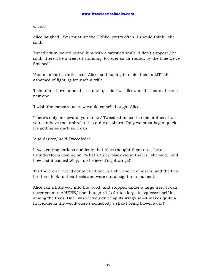or not!'

Alice laughed. 'You must hit the TREES pretty often, I should think,' she said.

Tweedledum looked round him with a satisfied smile. 'I don't suppose,' he said, 'there'll be a tree left standing, for ever so far round, by the time we've finished!'

'And all about a rattle!' said Alice, still hoping to make them a LITTLE ashamed of fighting for such a trifle.

'I shouldn't have minded it so much,' said Tweedledum, 'if it hadn't been a new one.'

'I wish the monstrous crow would come!' thought Alice.

'There's only one sword, you know,' Tweedledum said to his brother: 'but you can have the umbrella--it's quite as sharp. Only we must begin quick. It's getting as dark as it can.'

'And darker,' said Tweedledee.

It was getting dark so suddenly that Alice thought there must be a thunderstorm coming on. 'What a thick black cloud that is!' she said. 'And how fast it comes! Why, I do believe it's got wings!'

'It's the crow!' Tweedledum cried out in a shrill voice of alarm: and the two brothers took to their heels and were out of sight in a moment.

Alice ran a little way into the wood, and stopped under a large tree. 'It can never get at me HERE,' she thought: 'it's far too large to squeeze itself in among the trees. But I wish it wouldn't flap its wings so--it makes quite a hurricane in the wood--here's somebody's shawl being blown away!'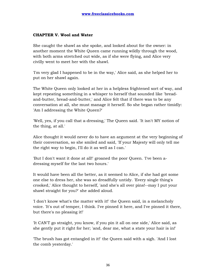# **CHAPTER V. Wool and Water**

She caught the shawl as she spoke, and looked about for the owner: in another moment the White Queen came running wildly through the wood, with both arms stretched out wide, as if she were flying, and Alice very civilly went to meet her with the shawl.

'I'm very glad I happened to be in the way,' Alice said, as she helped her to put on her shawl again.

The White Queen only looked at her in a helpless frightened sort of way, and kept repeating something in a whisper to herself that sounded like 'breadand-butter, bread-and-butter,' and Alice felt that if there was to be any conversation at all, she must manage it herself. So she began rather timidly: 'Am I addressing the White Queen?'

'Well, yes, if you call that a-dressing,' The Queen said. 'It isn't MY notion of the thing, at all.'

Alice thought it would never do to have an argument at the very beginning of their conversation, so she smiled and said, 'If your Majesty will only tell me the right way to begin, I'll do it as well as I can.'

'But I don't want it done at all!' groaned the poor Queen. 'I've been adressing myself for the last two hours.'

It would have been all the better, as it seemed to Alice, if she had got some one else to dress her, she was so dreadfully untidy. 'Every single thing's crooked,' Alice thought to herself, 'and she's all over pins!--may I put your shawl straight for you?' she added aloud.

'I don't know what's the matter with it!' the Queen said, in a melancholy voice. 'It's out of temper, I think. I've pinned it here, and I've pinned it there, but there's no pleasing it!'

'It CAN'T go straight, you know, if you pin it all on one side,' Alice said, as she gently put it right for her; 'and, dear me, what a state your hair is in!'

'The brush has got entangled in it!' the Queen said with a sigh. 'And I lost the comb yesterday.'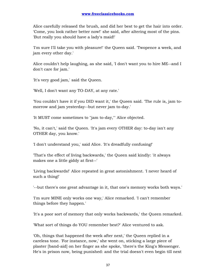Alice carefully released the brush, and did her best to get the hair into order. 'Come, you look rather better now!' she said, after altering most of the pins. 'But really you should have a lady's maid!'

'I'm sure I'll take you with pleasure!' the Queen said. 'Twopence a week, and jam every other day.'

Alice couldn't help laughing, as she said, 'I don't want you to hire ME--and I don't care for jam.'

'It's very good jam,' said the Queen.

'Well, I don't want any TO-DAY, at any rate.'

'You couldn't have it if you DID want it,' the Queen said. 'The rule is, jam tomorrow and jam yesterday--but never jam to-day.'

'It MUST come sometimes to "jam to-day,"' Alice objected.

'No, it can't,' said the Queen. 'It's jam every OTHER day: to-day isn't any OTHER day, you know.'

'I don't understand you,' said Alice. 'It's dreadfully confusing!'

'That's the effect of living backwards,' the Queen said kindly: 'it always makes one a little giddy at first--'

'Living backwards!' Alice repeated in great astonishment. 'I never heard of such a thing!'

'--but there's one great advantage in it, that one's memory works both ways.'

'I'm sure MINE only works one way,' Alice remarked. 'I can't remember things before they happen.'

'It's a poor sort of memory that only works backwards,' the Queen remarked.

'What sort of things do YOU remember best?' Alice ventured to ask.

'Oh, things that happened the week after next,' the Queen replied in a careless tone. 'For instance, now,' she went on, sticking a large piece of plaster [band-aid] on her finger as she spoke, 'there's the King's Messenger. He's in prison now, being punished: and the trial doesn't even begin till next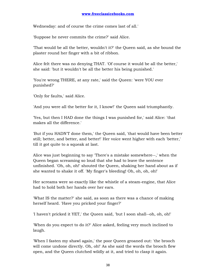Wednesday: and of course the crime comes last of all.'

'Suppose he never commits the crime?' said Alice.

'That would be all the better, wouldn't it?' the Queen said, as she bound the plaster round her finger with a bit of ribbon.

Alice felt there was no denying THAT. 'Of course it would be all the better,' she said: 'but it wouldn't be all the better his being punished.'

'You're wrong THERE, at any rate,' said the Queen: 'were YOU ever punished?'

'Only for faults,' said Alice.

'And you were all the better for it, I know!' the Queen said triumphantly.

'Yes, but then I HAD done the things I was punished for,' said Alice: 'that makes all the difference.'

'But if you HADN'T done them,' the Queen said, 'that would have been better still; better, and better, and better!' Her voice went higher with each 'better,' till it got quite to a squeak at last.

Alice was just beginning to say 'There's a mistake somewhere--,' when the Queen began screaming so loud that she had to leave the sentence unfinished. 'Oh, oh, oh!' shouted the Queen, shaking her hand about as if she wanted to shake it off. 'My finger's bleeding! Oh, oh, oh, oh!'

Her screams were so exactly like the whistle of a steam-engine, that Alice had to hold both her hands over her ears.

'What IS the matter?' she said, as soon as there was a chance of making herself heard. 'Have you pricked your finger?'

'I haven't pricked it YET,' the Queen said, 'but I soon shall--oh, oh, oh!'

'When do you expect to do it?' Alice asked, feeling very much inclined to laugh.

'When I fasten my shawl again,' the poor Queen groaned out: 'the brooch will come undone directly. Oh, oh!' As she said the words the brooch flew open, and the Queen clutched wildly at it, and tried to clasp it again.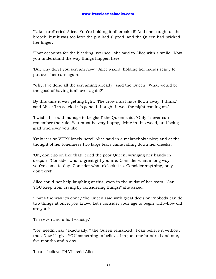'Take care!' cried Alice. 'You're holding it all crooked!' And she caught at the brooch; but it was too late: the pin had slipped, and the Queen had pricked her finger.

'That accounts for the bleeding, you see,' she said to Alice with a smile. 'Now you understand the way things happen here.'

'But why don't you scream now?' Alice asked, holding her hands ready to put over her ears again.

'Why, I've done all the screaming already,' said the Queen. 'What would be the good of having it all over again?'

By this time it was getting light. 'The crow must have flown away, I think,' said Alice: 'I'm so glad it's gone. I thought it was the night coming on.'

'I wish \_I\_ could manage to be glad!' the Queen said. 'Only I never can remember the rule. You must be very happy, living in this wood, and being glad whenever you like!'

'Only it is so VERY lonely here!' Alice said in a melancholy voice; and at the thought of her loneliness two large tears came rolling down her cheeks.

'Oh, don't go on like that!' cried the poor Queen, wringing her hands in despair. 'Consider what a great girl you are. Consider what a long way you've come to-day. Consider what o'clock it is. Consider anything, only don't cry!'

Alice could not help laughing at this, even in the midst of her tears. 'Can YOU keep from crying by considering things?' she asked.

'That's the way it's done,' the Queen said with great decision: 'nobody can do two things at once, you know. Let's consider your age to begin with--how old are you?'

'I'm seven and a half exactly.'

'You needn't say "exactually,"' the Queen remarked: 'I can believe it without that. Now I'll give YOU something to believe. I'm just one hundred and one, five months and a day.'

'I can't believe THAT!' said Alice.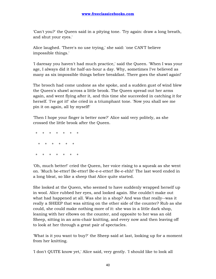'Can't you?' the Queen said in a pitying tone. 'Try again: draw a long breath, and shut your eyes.'

Alice laughed. 'There's no use trying,' she said: 'one CAN'T believe impossible things.'

'I daresay you haven't had much practice,' said the Queen. 'When I was your age, I always did it for half-an-hour a day. Why, sometimes I've believed as many as six impossible things before breakfast. There goes the shawl again!'

The brooch had come undone as she spoke, and a sudden gust of wind blew the Queen's shawl across a little brook. The Queen spread out her arms again, and went flying after it, and this time she succeeded in catching it for herself. 'I've got it!' she cried in a triumphant tone. 'Now you shall see me pin it on again, all by myself!'

'Then I hope your finger is better now?' Alice said very politely, as she crossed the little brook after the Queen.

 \* \* \* \* \* \* \* \* \* \* \* \* \* \* \* \* \* \* \* \*

'Oh, much better!' cried the Queen, her voice rising to a squeak as she went on. 'Much be-etter! Be-etter! Be-e-e-etter! Be-e-ehh!' The last word ended in a long bleat, so like a sheep that Alice quite started.

She looked at the Queen, who seemed to have suddenly wrapped herself up in wool. Alice rubbed her eyes, and looked again. She couldn't make out what had happened at all. Was she in a shop? And was that really--was it really a SHEEP that was sitting on the other side of the counter? Rub as she could, she could make nothing more of it: she was in a little dark shop, leaning with her elbows on the counter, and opposite to her was an old Sheep, sitting in an arm-chair knitting, and every now and then leaving off to look at her through a great pair of spectacles.

'What is it you want to buy?' the Sheep said at last, looking up for a moment from her knitting.

'I don't QUITE know yet,' Alice said, very gently. 'I should like to look all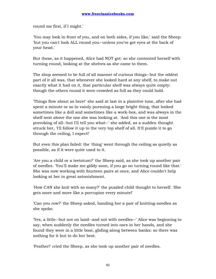round me first, if I might.'

'You may look in front of you, and on both sides, if you like,' said the Sheep: 'but you can't look ALL round you--unless you've got eyes at the back of your head.'

But these, as it happened, Alice had NOT got: so she contented herself with turning round, looking at the shelves as she came to them.

The shop seemed to be full of all manner of curious things--but the oddest part of it all was, that whenever she looked hard at any shelf, to make out exactly what it had on it, that particular shelf was always quite empty: though the others round it were crowded as full as they could hold.

'Things flow about so here!' she said at last in a plaintive tone, after she had spent a minute or so in vainly pursuing a large bright thing, that looked sometimes like a doll and sometimes like a work-box, and was always in the shelf next above the one she was looking at. 'And this one is the most provoking of all--but I'll tell you what--' she added, as a sudden thought struck her, 'I'll follow it up to the very top shelf of all. It'll puzzle it to go through the ceiling, I expect!'

But even this plan failed: the 'thing' went through the ceiling as quietly as possible, as if it were quite used to it.

'Are you a child or a teetotum?' the Sheep said, as she took up another pair of needles. 'You'll make me giddy soon, if you go on turning round like that.' She was now working with fourteen pairs at once, and Alice couldn't help looking at her in great astonishment.

'How CAN she knit with so many?' the puzzled child thought to herself. 'She gets more and more like a porcupine every minute!'

'Can you row?' the Sheep asked, handing her a pair of knitting-needles as she spoke.

'Yes, a little--but not on land--and not with needles--' Alice was beginning to say, when suddenly the needles turned into oars in her hands, and she found they were in a little boat, gliding along between banks: so there was nothing for it but to do her best.

'Feather!' cried the Sheep, as she took up another pair of needles.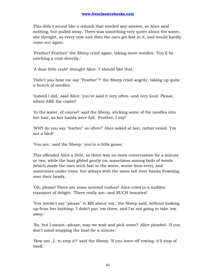This didn't sound like a remark that needed any answer, so Alice said nothing, but pulled away. There was something very queer about the water, she thought, as every now and then the oars got fast in it, and would hardly come out again.

'Feather! Feather!' the Sheep cried again, taking more needles. 'You'll be catching a crab directly.'

'A dear little crab!' thought Alice. 'I should like that.'

'Didn't you hear me say "Feather"?' the Sheep cried angrily, taking up quite a bunch of needles.

'Indeed I did,' said Alice: 'you've said it very often--and very loud. Please, where ARE the crabs?'

'In the water, of course!' said the Sheep, sticking some of the needles into her hair, as her hands were full. 'Feather, I say!'

'WHY do you say "feather" so often?' Alice asked at last, rather vexed. 'I'm not a bird!'

'You are,' said the Sheep: 'you're a little goose.'

This offended Alice a little, so there was no more conversation for a minute or two, while the boat glided gently on, sometimes among beds of weeds (which made the oars stick fast in the water, worse then ever), and sometimes under trees, but always with the same tall river-banks frowning over their heads.

'Oh, please! There are some scented rushes!' Alice cried in a sudden transport of delight. 'There really are--and SUCH beauties!'

'You needn't say "please" to ME about 'em,' the Sheep said, without looking up from her knitting: 'I didn't put 'em there, and I'm not going to take 'em away.'

'No, but I meant--please, may we wait and pick some?' Alice pleaded. 'If you don't mind stopping the boat for a minute.'

'How am \_I\_ to stop it?' said the Sheep. 'If you leave off rowing, it'll stop of itself.'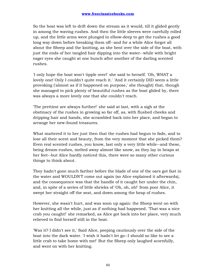So the boat was left to drift down the stream as it would, till it glided gently in among the waving rushes. And then the little sleeves were carefully rolled up, and the little arms were plunged in elbow-deep to get the rushes a good long way down before breaking them off--and for a while Alice forgot all about the Sheep and the knitting, as she bent over the side of the boat, with just the ends of her tangled hair dipping into the water--while with bright eager eyes she caught at one bunch after another of the darling scented rushes.

'I only hope the boat won't tipple over!' she said to herself. 'Oh, WHAT a lovely one! Only I couldn't quite reach it.' 'And it certainly DID seem a little provoking ('almost as if it happened on purpose,' she thought) that, though she managed to pick plenty of beautiful rushes as the boat glided by, there was always a more lovely one that she couldn't reach.

'The prettiest are always further!' she said at last, with a sigh at the obstinacy of the rushes in growing so far off, as, with flushed cheeks and dripping hair and hands, she scrambled back into her place, and began to arrange her new-found treasures.

What mattered it to her just then that the rushes had begun to fade, and to lose all their scent and beauty, from the very moment that she picked them? Even real scented rushes, you know, last only a very little while--and these, being dream-rushes, melted away almost like snow, as they lay in heaps at her feet--but Alice hardly noticed this, there were so many other curious things to think about.

They hadn't gone much farther before the blade of one of the oars got fast in the water and WOULDN'T come out again (so Alice explained it afterwards), and the consequence was that the handle of it caught her under the chin, and, in spite of a series of little shrieks of 'Oh, oh, oh!' from poor Alice, it swept her straight off the seat, and down among the heap of rushes.

However, she wasn't hurt, and was soon up again: the Sheep went on with her knitting all the while, just as if nothing had happened. 'That was a nice crab you caught!' she remarked, as Alice got back into her place, very much relieved to find herself still in the boat.

'Was it? I didn't see it,' Said Alice, peeping cautiously over the side of the boat into the dark water. 'I wish it hadn't let go--I should so like to see a little crab to take home with me!' But the Sheep only laughed scornfully, and went on with her knitting.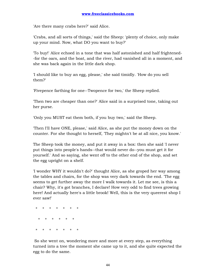'Are there many crabs here?' said Alice.

'Crabs, and all sorts of things,' said the Sheep: 'plenty of choice, only make up your mind. Now, what DO you want to buy?'

'To buy!' Alice echoed in a tone that was half astonished and half frightened- -for the oars, and the boat, and the river, had vanished all in a moment, and she was back again in the little dark shop.

'I should like to buy an egg, please,' she said timidly. 'How do you sell them?'

'Fivepence farthing for one--Twopence for two,' the Sheep replied.

'Then two are cheaper than one?' Alice said in a surprised tone, taking out her purse.

'Only you MUST eat them both, if you buy two,' said the Sheep.

'Then I'll have ONE, please,' said Alice, as she put the money down on the counter. For she thought to herself, 'They mightn't be at all nice, you know.'

The Sheep took the money, and put it away in a box: then she said 'I never put things into people's hands--that would never do--you must get it for yourself.' And so saying, she went off to the other end of the shop, and set the egg upright on a shelf.

'I wonder WHY it wouldn't do?' thought Alice, as she groped her way among the tables and chairs, for the shop was very dark towards the end. 'The egg seems to get further away the more I walk towards it. Let me see, is this a chair? Why, it's got branches, I declare! How very odd to find trees growing here! And actually here's a little brook! Well, this is the very queerest shop I ever saw!'

 \* \* \* \* \* \* \* \* \* \* \* \* \* \* \* \* \* \* \* \*

 So she went on, wondering more and more at every step, as everything turned into a tree the moment she came up to it, and she quite expected the egg to do the same.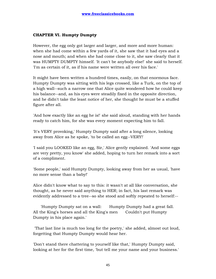## **CHAPTER VI. Humpty Dumpty**

However, the egg only got larger and larger, and more and more human: when she had come within a few yards of it, she saw that it had eyes and a nose and mouth; and when she had come close to it, she saw clearly that it was HUMPTY DUMPTY himself. 'It can't be anybody else!' she said to herself. 'I'm as certain of it, as if his name were written all over his face.'

It might have been written a hundred times, easily, on that enormous face. Humpty Dumpty was sitting with his legs crossed, like a Turk, on the top of a high wall--such a narrow one that Alice quite wondered how he could keep his balance--and, as his eyes were steadily fixed in the opposite direction, and he didn't take the least notice of her, she thought he must be a stuffed figure after all.

'And how exactly like an egg he is!' she said aloud, standing with her hands ready to catch him, for she was every moment expecting him to fall.

'It's VERY provoking,' Humpty Dumpty said after a long silence, looking away from Alice as he spoke, 'to be called an egg--VERY!'

'I said you LOOKED like an egg, Sir,' Alice gently explained. 'And some eggs are very pretty, you know' she added, hoping to turn her remark into a sort of a compliment.

'Some people,' said Humpty Dumpty, looking away from her as usual, 'have no more sense than a baby!'

Alice didn't know what to say to this: it wasn't at all like conversation, she thought, as he never said anything to HER; in fact, his last remark was evidently addressed to a tree--so she stood and softly repeated to herself:--

 'Humpty Dumpty sat on a wall: Humpty Dumpty had a great fall. All the King's horses and all the King's men Couldn't put Humpty Dumpty in his place again.'

 'That last line is much too long for the poetry,' she added, almost out loud, forgetting that Humpty Dumpty would hear her.

'Don't stand there chattering to yourself like that,' Humpty Dumpty said, looking at her for the first time, 'but tell me your name and your business.'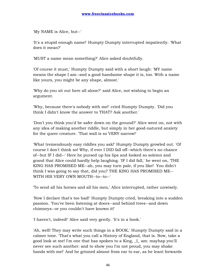'My NAME is Alice, but--'

'It's a stupid enough name!' Humpty Dumpty interrupted impatiently. 'What does it mean?'

'MUST a name mean something?' Alice asked doubtfully.

'Of course it must,' Humpty Dumpty said with a short laugh: 'MY name means the shape I am--and a good handsome shape it is, too. With a name like yours, you might be any shape, almost.'

'Why do you sit out here all alone?' said Alice, not wishing to begin an argument.

'Why, because there's nobody with me!' cried Humpty Dumpty. 'Did you think I didn't know the answer to THAT? Ask another.'

'Don't you think you'd be safer down on the ground?' Alice went on, not with any idea of making another riddle, but simply in her good-natured anxiety for the queer creature. 'That wall is so VERY narrow!'

'What tremendously easy riddles you ask!' Humpty Dumpty growled out. 'Of course I don't think so! Why, if ever I DID fall off--which there's no chance of--but IF I did--' Here he pursed up his lips and looked so solemn and grand that Alice could hardly help laughing. 'IF I did fall,' he went on, 'THE KING HAS PROMISED ME--ah, you may turn pale, if you like! You didn't think I was going to say that, did you? THE KING HAS PROMISED ME-- WITH HIS VERY OWN MOUTH--to--to--'

'To send all his horses and all his men,' Alice interrupted, rather unwisely.

'Now I declare that's too bad!' Humpty Dumpty cried, breaking into a sudden passion. 'You've been listening at doors--and behind trees--and down chimneys--or you couldn't have known it!'

'I haven't, indeed!' Alice said very gently. 'It's in a book.'

'Ah, well! They may write such things in a BOOK,' Humpty Dumpty said in a calmer tone. 'That's what you call a History of England, that is. Now, take a good look at me! I'm one that has spoken to a King, \_I\_ am: mayhap you'll never see such another: and to show you I'm not proud, you may shake hands with me!' And he grinned almost from ear to ear, as he leant forwards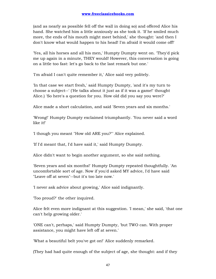(and as nearly as possible fell off the wall in doing so) and offered Alice his hand. She watched him a little anxiously as she took it. 'If he smiled much more, the ends of his mouth might meet behind,' she thought: 'and then I don't know what would happen to his head! I'm afraid it would come off!'

'Yes, all his horses and all his men,' Humpty Dumpty went on. 'They'd pick me up again in a minute, THEY would! However, this conversation is going on a little too fast: let's go back to the last remark but one.'

'I'm afraid I can't quite remember it,' Alice said very politely.

'In that case we start fresh,' said Humpty Dumpty, 'and it's my turn to choose a subject--' ('He talks about it just as if it was a game!' thought Alice.) 'So here's a question for you. How old did you say you were?'

Alice made a short calculation, and said 'Seven years and six months.'

'Wrong!' Humpty Dumpty exclaimed triumphantly. 'You never said a word like it!'

'I though you meant "How old ARE you?"' Alice explained.

'If I'd meant that, I'd have said it,' said Humpty Dumpty.

Alice didn't want to begin another argument, so she said nothing.

'Seven years and six months!' Humpty Dumpty repeated thoughtfully. 'An uncomfortable sort of age. Now if you'd asked MY advice, I'd have said "Leave off at seven"--but it's too late now.'

'I never ask advice about growing,' Alice said indignantly.

'Too proud?' the other inquired.

Alice felt even more indignant at this suggestion. 'I mean,' she said, 'that one can't help growing older.'

'ONE can't, perhaps,' said Humpty Dumpty, 'but TWO can. With proper assistance, you might have left off at seven.'

'What a beautiful belt you've got on!' Alice suddenly remarked.

(They had had quite enough of the subject of age, she thought: and if they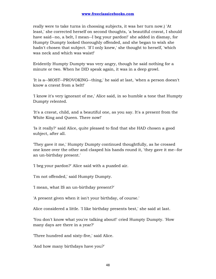really were to take turns in choosing subjects, it was her turn now.) 'At least,' she corrected herself on second thoughts, 'a beautiful cravat, I should have said--no, a belt, I mean--I beg your pardon!' she added in dismay, for Humpty Dumpty looked thoroughly offended, and she began to wish she hadn't chosen that subject. 'If I only knew,' she thought to herself, 'which was neck and which was waist!'

Evidently Humpty Dumpty was very angry, though he said nothing for a minute or two. When he DID speak again, it was in a deep growl.

'It is a--MOST--PROVOKING--thing,' he said at last, 'when a person doesn't know a cravat from a belt!'

'I know it's very ignorant of me,' Alice said, in so humble a tone that Humpty Dumpty relented.

'It's a cravat, child, and a beautiful one, as you say. It's a present from the White King and Queen. There now!'

'Is it really?' said Alice, quite pleased to find that she HAD chosen a good subject, after all.

'They gave it me,' Humpty Dumpty continued thoughtfully, as he crossed one knee over the other and clasped his hands round it, 'they gave it me--for an un-birthday present.'

'I beg your pardon?' Alice said with a puzzled air.

'I'm not offended,' said Humpty Dumpty.

'I mean, what IS an un-birthday present?'

'A present given when it isn't your birthday, of course.'

Alice considered a little. 'I like birthday presents best,' she said at last.

'You don't know what you're talking about!' cried Humpty Dumpty. 'How many days are there in a year?'

'Three hundred and sixty-five,' said Alice.

'And how many birthdays have you?'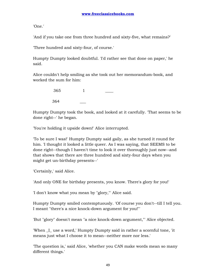'One.'

'And if you take one from three hundred and sixty-five, what remains?'

'Three hundred and sixty-four, of course.'

Humpty Dumpty looked doubtful. 'I'd rather see that done on paper,' he said.

Alice couldn't help smiling as she took out her memorandum-book, and worked the sum for him:

| 365 |  |
|-----|--|
| 364 |  |

Humpty Dumpty took the book, and looked at it carefully. 'That seems to be done right--' he began.

'You're holding it upside down!' Alice interrupted.

'To be sure I was!' Humpty Dumpty said gaily, as she turned it round for him. 'I thought it looked a little queer. As I was saying, that SEEMS to be done right--though I haven't time to look it over thoroughly just now--and that shows that there are three hundred and sixty-four days when you might get un-birthday presents--'

'Certainly,' said Alice.

'And only ONE for birthday presents, you know. There's glory for you!'

'I don't know what you mean by "glory,"' Alice said.

Humpty Dumpty smiled contemptuously. 'Of course you don't--till I tell you. I meant "there's a nice knock-down argument for you!"'

'But "glory" doesn't mean "a nice knock-down argument,"' Alice objected.

'When \_I\_ use a word,' Humpty Dumpty said in rather a scornful tone, 'it means just what I choose it to mean--neither more nor less.'

'The question is,' said Alice, 'whether you CAN make words mean so many different things.'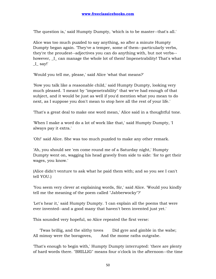'The question is,' said Humpty Dumpty, 'which is to be master--that's all.'

Alice was too much puzzled to say anything, so after a minute Humpty Dumpty began again. 'They've a temper, some of them--particularly verbs, they're the proudest--adjectives you can do anything with, but not verbs- however, I can manage the whole lot of them! Impenetrability! That's what  $I$ <sub>say!'</sub>

'Would you tell me, please,' said Alice 'what that means?'

'Now you talk like a reasonable child,' said Humpty Dumpty, looking very much pleased. 'I meant by "impenetrability" that we've had enough of that subject, and it would be just as well if you'd mention what you mean to do next, as I suppose you don't mean to stop here all the rest of your life.'

'That's a great deal to make one word mean,' Alice said in a thoughtful tone.

'When I make a word do a lot of work like that,' said Humpty Dumpty, 'I always pay it extra.'

'Oh!' said Alice. She was too much puzzled to make any other remark.

'Ah, you should see 'em come round me of a Saturday night,' Humpty Dumpty went on, wagging his head gravely from side to side: 'for to get their wages, you know.'

(Alice didn't venture to ask what he paid them with; and so you see I can't tell YOU.)

'You seem very clever at explaining words, Sir,' said Alice. 'Would you kindly tell me the meaning of the poem called "Jabberwocky"?'

'Let's hear it,' said Humpty Dumpty. 'I can explain all the poems that were ever invented--and a good many that haven't been invented just yet.'

This sounded very hopeful, so Alice repeated the first verse:

 'Twas brillig, and the slithy toves Did gyre and gimble in the wabe; All mimsy were the borogoves, And the mome raths outgrabe.

'That's enough to begin with,' Humpty Dumpty interrupted: 'there are plenty of hard words there. "BRILLIG" means four o'clock in the afternoon--the time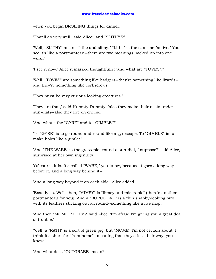when you begin BROILING things for dinner.'

'That'll do very well,' said Alice: 'and "SLITHY"?'

'Well, "SLITHY" means "lithe and slimy." "Lithe" is the same as "active." You see it's like a portmanteau--there are two meanings packed up into one word.'

'I see it now,' Alice remarked thoughtfully: 'and what are "TOVES"?'

'Well, "TOVES" are something like badgers--they're something like lizards- and they're something like corkscrews.'

'They must be very curious looking creatures.'

'They are that,' said Humpty Dumpty: 'also they make their nests under sun-dials--also they live on cheese.'

'And what's the "GYRE" and to "GIMBLE"?'

'To "GYRE" is to go round and round like a gyroscope. To "GIMBLE" is to make holes like a gimlet.'

'And "THE WABE" is the grass-plot round a sun-dial, I suppose?' said Alice, surprised at her own ingenuity.

'Of course it is. It's called "WABE," you know, because it goes a long way before it, and a long way behind it--'

'And a long way beyond it on each side,' Alice added.

'Exactly so. Well, then, "MIMSY" is "flimsy and miserable" (there's another portmanteau for you). And a "BOROGOVE" is a thin shabby-looking bird with its feathers sticking out all round--something like a live mop.'

'And then "MOME RATHS"?' said Alice. 'I'm afraid I'm giving you a great deal of trouble.'

'Well, a "RATH" is a sort of green pig: but "MOME" I'm not certain about. I think it's short for "from home"--meaning that they'd lost their way, you know.'

'And what does "OUTGRABE" mean?'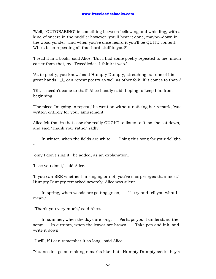'Well, "OUTGRABING" is something between bellowing and whistling, with a kind of sneeze in the middle: however, you'll hear it done, maybe--down in the wood yonder--and when you've once heard it you'll be QUITE content. Who's been repeating all that hard stuff to you?'

'I read it in a book,' said Alice. 'But I had some poetry repeated to me, much easier than that, by--Tweedledee, I think it was.'

'As to poetry, you know,' said Humpty Dumpty, stretching out one of his great hands, '\_I\_ can repeat poetry as well as other folk, if it comes to that--'

'Oh, it needn't come to that!' Alice hastily said, hoping to keep him from beginning.

'The piece I'm going to repeat,' he went on without noticing her remark, 'was written entirely for your amusement.'

Alice felt that in that case she really OUGHT to listen to it, so she sat down, and said 'Thank you' rather sadly.

'In winter, when the fields are white, I sing this song for your delight-

only I don't sing it,' he added, as an explanation.

'I see you don't,' said Alice.

-

'If you can SEE whether I'm singing or not, you've sharper eyes than most.' Humpty Dumpty remarked severely. Alice was silent.

 'In spring, when woods are getting green, I'll try and tell you what I mean.'

'Thank you very much,' said Alice.

 'In summer, when the days are long, Perhaps you'll understand the song: In autumn, when the leaves are brown, Take pen and ink, and write it down.'

'I will, if I can remember it so long,' said Alice.

'You needn't go on making remarks like that,' Humpty Dumpty said: 'they're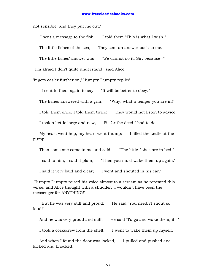not sensible, and they put me out.'

 'I sent a message to the fish: I told them "This is what I wish." The little fishes of the sea, They sent an answer back to me.

The little fishes' answer was "We cannot do it, Sir, because--"'

'I'm afraid I don't quite understand,' said Alice.

'It gets easier further on,' Humpty Dumpty replied.

'I sent to them again to say "It will be better to obey."

The fishes answered with a grin, "Why, what a temper you are in!"

I told them once, I told them twice: They would not listen to advice.

I took a kettle large and new, Fit for the deed I had to do.

 My heart went hop, my heart went thump; I filled the kettle at the pump.

Then some one came to me and said, "The little fishes are in bed."

I said to him, I said it plain, "Then you must wake them up again."

I said it very loud and clear; I went and shouted in his ear.'

 Humpty Dumpty raised his voice almost to a scream as he repeated this verse, and Alice thought with a shudder, 'I wouldn't have been the messenger for ANYTHING!'

'But he was very stiff and proud; He said "You needn't shout so loud!"

And he was very proud and stiff; He said "I'd go and wake them, if--"

I took a corkscrew from the shelf: I went to wake them up myself.

And when I found the door was locked, I pulled and pushed and kicked and knocked.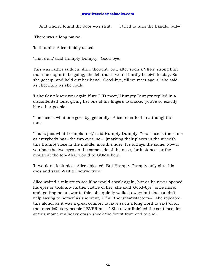## **www.freeclassicebooks.com**

And when I found the door was shut, I tried to turn the handle, but--'

There was a long pause.

'Is that all?' Alice timidly asked.

'That's all,' said Humpty Dumpty. 'Good-bye.'

This was rather sudden, Alice thought: but, after such a VERY strong hint that she ought to be going, she felt that it would hardly be civil to stay. So she got up, and held out her hand. 'Good-bye, till we meet again!' she said as cheerfully as she could.

'I shouldn't know you again if we DID meet,' Humpty Dumpty replied in a discontented tone, giving her one of his fingers to shake; 'you're so exactly like other people.'

'The face is what one goes by, generally,' Alice remarked in a thoughtful tone.

'That's just what I complain of,' said Humpty Dumpty. 'Your face is the same as everybody has--the two eyes, so--' (marking their places in the air with this thumb) 'nose in the middle, mouth under. It's always the same. Now if you had the two eyes on the same side of the nose, for instance--or the mouth at the top--that would be SOME help.'

'It wouldn't look nice,' Alice objected. But Humpty Dumpty only shut his eyes and said 'Wait till you've tried.'

Alice waited a minute to see if he would speak again, but as he never opened his eyes or took any further notice of her, she said 'Good-bye!' once more, and, getting no answer to this, she quietly walked away: but she couldn't help saying to herself as she went, 'Of all the unsatisfactory--' (she repeated this aloud, as it was a great comfort to have such a long word to say) 'of all the unsatisfactory people I EVER met--' She never finished the sentence, for at this moment a heavy crash shook the forest from end to end.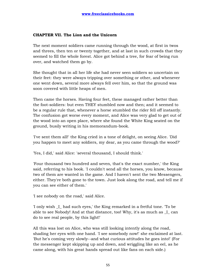## **CHAPTER VII. The Lion and the Unicorn**

The next moment soldiers came running through the wood, at first in twos and threes, then ten or twenty together, and at last in such crowds that they seemed to fill the whole forest. Alice got behind a tree, for fear of being run over, and watched them go by.

She thought that in all her life she had never seen soldiers so uncertain on their feet: they were always tripping over something or other, and whenever one went down, several more always fell over him, so that the ground was soon covered with little heaps of men.

Then came the horses. Having four feet, these managed rather better than the foot-soldiers: but even THEY stumbled now and then; and it seemed to be a regular rule that, whenever a horse stumbled the rider fell off instantly. The confusion got worse every moment, and Alice was very glad to get out of the wood into an open place, where she found the White King seated on the ground, busily writing in his memorandum-book.

'I've sent them all!' the King cried in a tone of delight, on seeing Alice. 'Did you happen to meet any soldiers, my dear, as you came through the wood?'

'Yes, I did,' said Alice: 'several thousand, I should think.'

'Four thousand two hundred and seven, that's the exact number,' the King said, referring to his book. 'I couldn't send all the horses, you know, because two of them are wanted in the game. And I haven't sent the two Messengers, either. They're both gone to the town. Just look along the road, and tell me if you can see either of them.'

'I see nobody on the road,' said Alice.

'I only wish \_I\_ had such eyes,' the King remarked in a fretful tone. 'To be able to see Nobody! And at that distance, too! Why, it's as much as \_I\_ can do to see real people, by this light!'

All this was lost on Alice, who was still looking intently along the road, shading her eyes with one hand. 'I see somebody now!' she exclaimed at last. 'But he's coming very slowly--and what curious attitudes he goes into!' (For the messenger kept skipping up and down, and wriggling like an eel, as he came along, with his great hands spread out like fans on each side.)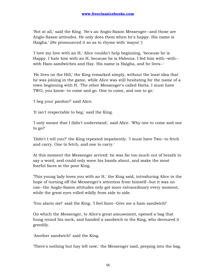'Not at all,' said the King. 'He's an Anglo-Saxon Messenger--and those are Anglo-Saxon attitudes. He only does them when he's happy. His name is Haigha.' (He pronounced it so as to rhyme with 'mayor.')

'I love my love with an H,' Alice couldn't help beginning, 'because he is Happy. I hate him with an H, because he is Hideous. I fed him with--with- with Ham-sandwiches and Hay. His name is Haigha, and he lives--'

'He lives on the Hill,' the King remarked simply, without the least idea that he was joining in the game, while Alice was still hesitating for the name of a town beginning with H. 'The other Messenger's called Hatta. I must have TWO, you know--to come and go. One to come, and one to go.'

'I beg your pardon?' said Alice.

'It isn't respectable to beg,' said the King.

'I only meant that I didn't understand,' said Alice. 'Why one to come and one to go?'

'Didn't I tell you?' the King repeated impatiently. 'I must have Two--to fetch and carry. One to fetch, and one to carry.'

At this moment the Messenger arrived: he was far too much out of breath to say a word, and could only wave his hands about, and make the most fearful faces at the poor King.

'This young lady loves you with an H,' the King said, introducing Alice in the hope of turning off the Messenger's attention from himself--but it was no use--the Anglo-Saxon attitudes only got more extraordinary every moment, while the great eyes rolled wildly from side to side.

'You alarm me!' said the King. 'I feel faint--Give me a ham sandwich!'

On which the Messenger, to Alice's great amusement, opened a bag that hung round his neck, and handed a sandwich to the King, who devoured it greedily.

'Another sandwich!' said the King.

'There's nothing but hay left now,' the Messenger said, peeping into the bag.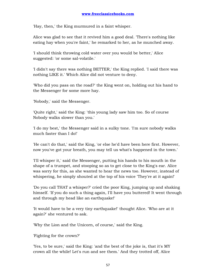'Hay, then,' the King murmured in a faint whisper.

Alice was glad to see that it revived him a good deal. 'There's nothing like eating hay when you're faint,' he remarked to her, as he munched away.

'I should think throwing cold water over you would be better,' Alice suggested: 'or some sal-volatile.'

'I didn't say there was nothing BETTER,' the King replied. 'I said there was nothing LIKE it.' Which Alice did not venture to deny.

'Who did you pass on the road?' the King went on, holding out his hand to the Messenger for some more hay.

'Nobody,' said the Messenger.

'Quite right,' said the King: 'this young lady saw him too. So of course Nobody walks slower than you.'

'I do my best,' the Messenger said in a sulky tone. 'I'm sure nobody walks much faster than I do!'

'He can't do that,' said the King, 'or else he'd have been here first. However, now you've got your breath, you may tell us what's happened in the town.'

'I'll whisper it,' said the Messenger, putting his hands to his mouth in the shape of a trumpet, and stooping so as to get close to the King's ear. Alice was sorry for this, as she wanted to hear the news too. However, instead of whispering, he simply shouted at the top of his voice 'They're at it again!'

'Do you call THAT a whisper?' cried the poor King, jumping up and shaking himself. 'If you do such a thing again, I'll have you buttered! It went through and through my head like an earthquake!'

'It would have to be a very tiny earthquake!' thought Alice. 'Who are at it again?' she ventured to ask.

'Why the Lion and the Unicorn, of course,' said the King.

'Fighting for the crown?'

'Yes, to be sure,' said the King: 'and the best of the joke is, that it's MY crown all the while! Let's run and see them.' And they trotted off, Alice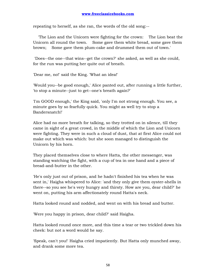repeating to herself, as she ran, the words of the old song:--

 'The Lion and the Unicorn were fighting for the crown: The Lion beat the Unicorn all round the town. Some gave them white bread, some gave them brown; Some gave them plum-cake and drummed them out of town.'

 'Does--the one--that wins--get the crown?' she asked, as well as she could, for the run was putting her quite out of breath.

'Dear me, no!' said the King. 'What an idea!'

'Would you--be good enough,' Alice panted out, after running a little further, 'to stop a minute--just to get--one's breath again?'

'I'm GOOD enough,' the King said, 'only I'm not strong enough. You see, a minute goes by so fearfully quick. You might as well try to stop a Bandersnatch!'

Alice had no more breath for talking, so they trotted on in silence, till they came in sight of a great crowd, in the middle of which the Lion and Unicorn were fighting. They were in such a cloud of dust, that at first Alice could not make out which was which: but she soon managed to distinguish the Unicorn by his horn.

They placed themselves close to where Hatta, the other messenger, was standing watching the fight, with a cup of tea in one hand and a piece of bread-and-butter in the other.

'He's only just out of prison, and he hadn't finished his tea when he was sent in,' Haigha whispered to Alice: 'and they only give them oyster-shells in there--so you see he's very hungry and thirsty. How are you, dear child?' he went on, putting his arm affectionately round Hatta's neck.

Hatta looked round and nodded, and went on with his bread and butter.

'Were you happy in prison, dear child?' said Haigha.

Hatta looked round once more, and this time a tear or two trickled down his cheek: but not a word would he say.

'Speak, can't you!' Haigha cried impatiently. But Hatta only munched away, and drank some more tea.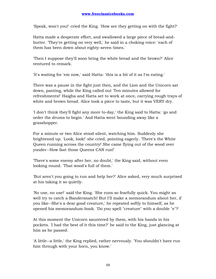'Speak, won't you!' cried the King. 'How are they getting on with the fight?'

Hatta made a desperate effort, and swallowed a large piece of bread-andbutter. 'They're getting on very well,' he said in a choking voice: 'each of them has been down about eighty-seven times.'

'Then I suppose they'll soon bring the white bread and the brown?' Alice ventured to remark.

'It's waiting for 'em now,' said Hatta: 'this is a bit of it as I'm eating.'

There was a pause in the fight just then, and the Lion and the Unicorn sat down, panting, while the King called out 'Ten minutes allowed for refreshments!' Haigha and Hatta set to work at once, carrying rough trays of white and brown bread. Alice took a piece to taste, but it was VERY dry.

'I don't think they'll fight any more to-day,' the King said to Hatta: 'go and order the drums to begin.' And Hatta went bounding away like a grasshopper.

For a minute or two Alice stood silent, watching him. Suddenly she brightened up. 'Look, look!' she cried, pointing eagerly. 'There's the White Queen running across the country! She came flying out of the wood over yonder--How fast those Queens CAN run!'

'There's some enemy after her, no doubt,' the King said, without even looking round. 'That wood's full of them.'

'But aren't you going to run and help her?' Alice asked, very much surprised at his taking it so quietly.

'No use, no use!' said the King. 'She runs so fearfully quick. You might as well try to catch a Bandersnatch! But I'll make a memorandum about her, if you like--She's a dear good creature,' he repeated softly to himself, as he opened his memorandum-book. 'Do you spell "creature" with a double "e"?'

At this moment the Unicorn sauntered by them, with his hands in his pockets. 'I had the best of it this time?' he said to the King, just glancing at him as he passed.

'A little--a little,' the King replied, rather nervously. 'You shouldn't have run him through with your horn, you know.'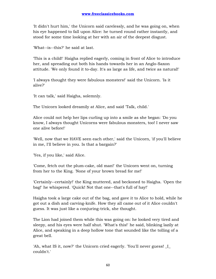'It didn't hurt him,' the Unicorn said carelessly, and he was going on, when his eye happened to fall upon Alice: he turned round rather instantly, and stood for some time looking at her with an air of the deepest disgust.

'What--is--this?' he said at last.

'This is a child!' Haigha replied eagerly, coming in front of Alice to introduce her, and spreading out both his hands towards her in an Anglo-Saxon attitude. 'We only found it to-day. It's as large as life, and twice as natural!'

'I always thought they were fabulous monsters!' said the Unicorn. 'Is it alive?'

'It can talk,' said Haigha, solemnly.

The Unicorn looked dreamily at Alice, and said 'Talk, child.'

Alice could not help her lips curling up into a smile as she began: 'Do you know, I always thought Unicorns were fabulous monsters, too! I never saw one alive before!'

'Well, now that we HAVE seen each other,' said the Unicorn, 'if you'll believe in me, I'll believe in you. Is that a bargain?'

'Yes, if you like,' said Alice.

'Come, fetch out the plum-cake, old man!' the Unicorn went on, turning from her to the King. 'None of your brown bread for me!'

'Certainly--certainly!' the King muttered, and beckoned to Haigha. 'Open the bag!' he whispered. 'Quick! Not that one--that's full of hay!'

Haigha took a large cake out of the bag, and gave it to Alice to hold, while he got out a dish and carving-knife. How they all came out of it Alice couldn't guess. It was just like a conjuring-trick, she thought.

The Lion had joined them while this was going on: he looked very tired and sleepy, and his eyes were half shut. 'What's this!' he said, blinking lazily at Alice, and speaking in a deep hollow tone that sounded like the tolling of a great bell.

'Ah, what IS it, now?' the Unicorn cried eagerly. 'You'll never guess! \_I\_ couldn't.'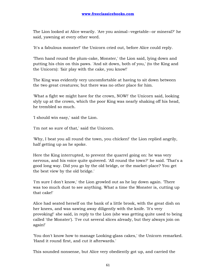The Lion looked at Alice wearily. 'Are you animal--vegetable--or mineral?' he said, yawning at every other word.

'It's a fabulous monster!' the Unicorn cried out, before Alice could reply.

'Then hand round the plum-cake, Monster,' the Lion said, lying down and putting his chin on this paws. 'And sit down, both of you,' (to the King and the Unicorn): 'fair play with the cake, you know!'

The King was evidently very uncomfortable at having to sit down between the two great creatures; but there was no other place for him.

'What a fight we might have for the crown, NOW!' the Unicorn said, looking slyly up at the crown, which the poor King was nearly shaking off his head, he trembled so much.

'I should win easy,' said the Lion.

'I'm not so sure of that,' said the Unicorn.

'Why, I beat you all round the town, you chicken!' the Lion replied angrily, half getting up as he spoke.

Here the King interrupted, to prevent the quarrel going on: he was very nervous, and his voice quite quivered. 'All round the town?' he said. 'That's a good long way. Did you go by the old bridge, or the market-place? You get the best view by the old bridge.'

'I'm sure I don't know,' the Lion growled out as he lay down again. 'There was too much dust to see anything. What a time the Monster is, cutting up that cake!'

Alice had seated herself on the bank of a little brook, with the great dish on her knees, and was sawing away diligently with the knife. 'It's very provoking!' she said, in reply to the Lion (she was getting quite used to being called 'the Monster'). 'I've cut several slices already, but they always join on again!'

'You don't know how to manage Looking-glass cakes,' the Unicorn remarked. 'Hand it round first, and cut it afterwards.'

This sounded nonsense, but Alice very obediently got up, and carried the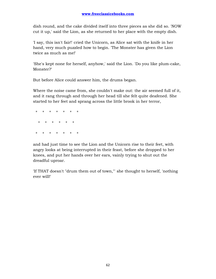dish round, and the cake divided itself into three pieces as she did so. 'NOW cut it up,' said the Lion, as she returned to her place with the empty dish.

'I say, this isn't fair!' cried the Unicorn, as Alice sat with the knife in her hand, very much puzzled how to begin. 'The Monster has given the Lion twice as much as me!'

'She's kept none for herself, anyhow,' said the Lion. 'Do you like plum-cake, Monster?'

But before Alice could answer him, the drums began.

Where the noise came from, she couldn't make out: the air seemed full of it, and it rang through and through her head till she felt quite deafened. She started to her feet and sprang across the little brook in her terror,

 \* \* \* \* \* \* \* \* \* \* \* \* \* \* \* \* \* \* \* \*

and had just time to see the Lion and the Unicorn rise to their feet, with angry looks at being interrupted in their feast, before she dropped to her knees, and put her hands over her ears, vainly trying to shut out the dreadful uproar.

'If THAT doesn't "drum them out of town,"' she thought to herself, 'nothing ever will!'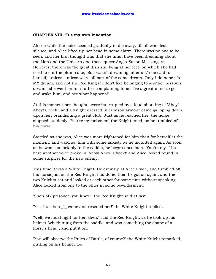## **CHAPTER VIII. 'It's my own Invention'**

After a while the noise seemed gradually to die away, till all was dead silence, and Alice lifted up her head in some alarm. There was no one to be seen, and her first thought was that she must have been dreaming about the Lion and the Unicorn and those queer Anglo-Saxon Messengers. However, there was the great dish still lying at her feet, on which she had tried to cut the plum-cake, 'So I wasn't dreaming, after all,' she said to herself, 'unless--unless we're all part of the same dream. Only I do hope it's MY dream, and not the Red King's! I don't like belonging to another person's dream,' she went on in a rather complaining tone: 'I've a great mind to go and wake him, and see what happens!'

At this moment her thoughts were interrupted by a loud shouting of 'Ahoy! Ahoy! Check!' and a Knight dressed in crimson armour came galloping down upon her, brandishing a great club. Just as he reached her, the horse stopped suddenly: 'You're my prisoner!' the Knight cried, as he tumbled off his horse.

Startled as she was, Alice was more frightened for him than for herself at the moment, and watched him with some anxiety as he mounted again. As soon as he was comfortably in the saddle, he began once more 'You're my--' but here another voice broke in 'Ahoy! Ahoy! Check!' and Alice looked round in some surprise for the new enemy.

This time it was a White Knight. He drew up at Alice's side, and tumbled off his horse just as the Red Knight had done: then he got on again, and the two Knights sat and looked at each other for some time without speaking. Alice looked from one to the other in some bewilderment.

'She's MY prisoner, you know!' the Red Knight said at last.

'Yes, but then \_I\_ came and rescued her!' the White Knight replied.

'Well, we must fight for her, then,' said the Red Knight, as he took up his helmet (which hung from the saddle, and was something the shape of a horse's head), and put it on.

'You will observe the Rules of Battle, of course?' the White Knight remarked, putting on his helmet too.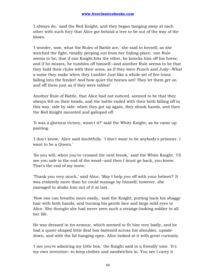'I always do,' said the Red Knight, and they began banging away at each other with such fury that Alice got behind a tree to be out of the way of the blows.

'I wonder, now, what the Rules of Battle are,' she said to herself, as she watched the fight, timidly peeping out from her hiding-place: 'one Rule seems to be, that if one Knight hits the other, he knocks him off his horse, and if he misses, he tumbles off himself--and another Rule seems to be that they hold their clubs with their arms, as if they were Punch and Judy--What a noise they make when they tumble! Just like a whole set of fire-irons falling into the fender! And how quiet the horses are! They let them get on and off them just as if they were tables!'

Another Rule of Battle, that Alice had not noticed, seemed to be that they always fell on their heads, and the battle ended with their both falling off in this way, side by side: when they got up again, they shook hands, and then the Red Knight mounted and galloped off.

'It was a glorious victory, wasn't it?' said the White Knight, as he came up panting.

'I don't know,' Alice said doubtfully. 'I don't want to be anybody's prisoner. I want to be a Queen.'

'So you will, when you've crossed the next brook,' said the White Knight. 'I'll see you safe to the end of the wood--and then I must go back, you know. That's the end of my move.'

'Thank you very much,' said Alice. 'May I help you off with your helmet?' It was evidently more than he could manage by himself; however, she managed to shake him out of it at last.

'Now one can breathe more easily,' said the Knight, putting back his shaggy hair with both hands, and turning his gentle face and large mild eyes to Alice. She thought she had never seen such a strange-looking soldier in all her life.

He was dressed in tin armour, which seemed to fit him very badly, and he had a queer-shaped little deal box fastened across his shoulder, upsidedown, and with the lid hanging open. Alice looked at it with great curiosity.

'I see you're admiring my little box.' the Knight said in a friendly tone. 'It's my own invention--to keep clothes and sandwiches in. You see I carry it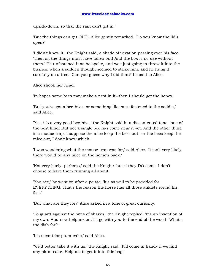upside-down, so that the rain can't get in.'

'But the things can get OUT,' Alice gently remarked. 'Do you know the lid's open?'

'I didn't know it,' the Knight said, a shade of vexation passing over his face. 'Then all the things must have fallen out! And the box is no use without them.' He unfastened it as he spoke, and was just going to throw it into the bushes, when a sudden thought seemed to strike him, and he hung it carefully on a tree. 'Can you guess why I did that?' he said to Alice.

Alice shook her head.

'In hopes some bees may make a nest in it--then I should get the honey.'

'But you've got a bee-hive--or something like one--fastened to the saddle,' said Alice.

'Yes, it's a very good bee-hive,' the Knight said in a discontented tone, 'one of the best kind. But not a single bee has come near it yet. And the other thing is a mouse-trap. I suppose the mice keep the bees out--or the bees keep the mice out, I don't know which.'

'I was wondering what the mouse-trap was for,' said Alice. 'It isn't very likely there would be any mice on the horse's back.'

'Not very likely, perhaps,' said the Knight: 'but if they DO come, I don't choose to have them running all about.'

'You see,' he went on after a pause, 'it's as well to be provided for EVERYTHING. That's the reason the horse has all those anklets round his feet.'

'But what are they for?' Alice asked in a tone of great curiosity.

'To guard against the bites of sharks,' the Knight replied. 'It's an invention of my own. And now help me on. I'll go with you to the end of the wood--What's the dish for?'

'It's meant for plum-cake,' said Alice.

'We'd better take it with us,' the Knight said. 'It'll come in handy if we find any plum-cake. Help me to get it into this bag.'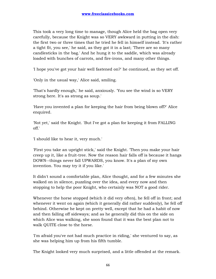This took a very long time to manage, though Alice held the bag open very carefully, because the Knight was so VERY awkward in putting in the dish: the first two or three times that he tried he fell in himself instead. 'It's rather a tight fit, you see,' he said, as they got it in a last; 'There are so many candlesticks in the bag.' And he hung it to the saddle, which was already loaded with bunches of carrots, and fire-irons, and many other things.

'I hope you've got your hair well fastened on?' he continued, as they set off.

'Only in the usual way,' Alice said, smiling.

'That's hardly enough,' he said, anxiously. 'You see the wind is so VERY strong here. It's as strong as soup.'

'Have you invented a plan for keeping the hair from being blown off?' Alice enquired.

'Not yet,' said the Knight. 'But I've got a plan for keeping it from FALLING off.'

'I should like to hear it, very much.'

'First you take an upright stick,' said the Knight. 'Then you make your hair creep up it, like a fruit-tree. Now the reason hair falls off is because it hangs DOWN--things never fall UPWARDS, you know. It's a plan of my own invention. You may try it if you like.'

It didn't sound a comfortable plan, Alice thought, and for a few minutes she walked on in silence, puzzling over the idea, and every now and then stopping to help the poor Knight, who certainly was NOT a good rider.

Whenever the horse stopped (which it did very often), he fell off in front; and whenever it went on again (which it generally did rather suddenly), he fell off behind. Otherwise he kept on pretty well, except that he had a habit of now and then falling off sideways; and as he generally did this on the side on which Alice was walking, she soon found that it was the best plan not to walk QUITE close to the horse.

'I'm afraid you've not had much practice in riding,' she ventured to say, as she was helping him up from his fifth tumble.

The Knight looked very much surprised, and a little offended at the remark.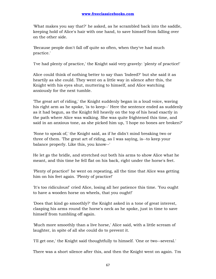'What makes you say that?' he asked, as he scrambled back into the saddle, keeping hold of Alice's hair with one hand, to save himself from falling over on the other side.

'Because people don't fall off quite so often, when they've had much practice.'

'I've had plenty of practice,' the Knight said very gravely: 'plenty of practice!'

Alice could think of nothing better to say than 'Indeed?' but she said it as heartily as she could. They went on a little way in silence after this, the Knight with his eyes shut, muttering to himself, and Alice watching anxiously for the next tumble.

'The great art of riding,' the Knight suddenly began in a loud voice, waving his right arm as he spoke, 'is to keep--' Here the sentence ended as suddenly as it had begun, as the Knight fell heavily on the top of his head exactly in the path where Alice was walking. She was quite frightened this time, and said in an anxious tone, as she picked him up, 'I hope no bones are broken?'

'None to speak of,' the Knight said, as if he didn't mind breaking two or three of them. 'The great art of riding, as I was saying, is--to keep your balance properly. Like this, you know--'

He let go the bridle, and stretched out both his arms to show Alice what he meant, and this time he fell flat on his back, right under the horse's feet.

'Plenty of practice!' he went on repeating, all the time that Alice was getting him on his feet again. 'Plenty of practice!'

'It's too ridiculous!' cried Alice, losing all her patience this time. 'You ought to have a wooden horse on wheels, that you ought!'

'Does that kind go smoothly?' the Knight asked in a tone of great interest, clasping his arms round the horse's neck as he spoke, just in time to save himself from tumbling off again.

'Much more smoothly than a live horse,' Alice said, with a little scream of laughter, in spite of all she could do to prevent it.

'I'll get one,' the Knight said thoughtfully to himself. 'One or two--several.'

There was a short silence after this, and then the Knight went on again. 'I'm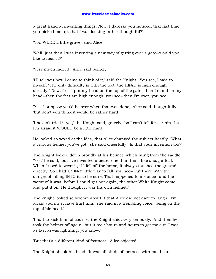a great hand at inventing things. Now, I daresay you noticed, that last time you picked me up, that I was looking rather thoughtful?'

'You WERE a little grave,' said Alice.

'Well, just then I was inventing a new way of getting over a gate--would you like to hear it?'

'Very much indeed,' Alice said politely.

'I'll tell you how I came to think of it,' said the Knight. 'You see, I said to myself, "The only difficulty is with the feet: the HEAD is high enough already." Now, first I put my head on the top of the gate--then I stand on my head--then the feet are high enough, you see--then I'm over, you see.'

'Yes, I suppose you'd be over when that was done,' Alice said thoughtfully: 'but don't you think it would be rather hard?'

'I haven't tried it yet,' the Knight said, gravely: 'so I can't tell for certain--but I'm afraid it WOULD be a little hard.'

He looked so vexed at the idea, that Alice changed the subject hastily. 'What a curious helmet you've got!' she said cheerfully. 'Is that your invention too?'

The Knight looked down proudly at his helmet, which hung from the saddle. 'Yes,' he said, 'but I've invented a better one than that--like a sugar loaf. When I used to wear it, if I fell off the horse, it always touched the ground directly. So I had a VERY little way to fall, you see--But there WAS the danger of falling INTO it, to be sure. That happened to me once--and the worst of it was, before I could get out again, the other White Knight came and put it on. He thought it was his own helmet.'

The knight looked so solemn about it that Alice did not dare to laugh. 'I'm afraid you must have hurt him,' she said in a trembling voice, 'being on the top of his head.'

'I had to kick him, of course,' the Knight said, very seriously. 'And then he took the helmet off again--but it took hours and hours to get me out. I was as fast as--as lightning, you know.'

'But that's a different kind of fastness,' Alice objected.

The Knight shook his head. 'It was all kinds of fastness with me, I can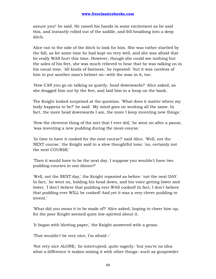assure you!' he said. He raised his hands in some excitement as he said this, and instantly rolled out of the saddle, and fell headlong into a deep ditch.

Alice ran to the side of the ditch to look for him. She was rather startled by the fall, as for some time he had kept on very well, and she was afraid that he really WAS hurt this time. However, though she could see nothing but the soles of his feet, she was much relieved to hear that he was talking on in his usual tone. 'All kinds of fastness,' he repeated: 'but it was careless of him to put another man's helmet on--with the man in it, too.'

'How CAN you go on talking so quietly, head downwards?' Alice asked, as she dragged him out by the feet, and laid him in a heap on the bank.

The Knight looked surprised at the question. 'What does it matter where my body happens to be?' he said. 'My mind goes on working all the same. In fact, the more head downwards I am, the more I keep inventing new things.'

'Now the cleverest thing of the sort that I ever did,' he went on after a pause, 'was inventing a new pudding during the meat-course.'

'In time to have it cooked for the next course?' said Alice. 'Well, not the NEXT course,' the Knight said in a slow thoughtful tone: 'no, certainly not the next COURSE.'

'Then it would have to be the next day. I suppose you wouldn't have two pudding-courses in one dinner?'

'Well, not the NEXT day,' the Knight repeated as before: 'not the next DAY. In fact,' he went on, holding his head down, and his voice getting lower and lower, 'I don't believe that pudding ever WAS cooked! In fact, I don't believe that pudding ever WILL be cooked! And yet it was a very clever pudding to invent.'

'What did you mean it to be made of?' Alice asked, hoping to cheer him up, for the poor Knight seemed quite low-spirited about it.

'It began with blotting paper,' the Knight answered with a groan.

'That wouldn't be very nice, I'm afraid--'

'Not very nice ALONE,' he interrupted, quite eagerly: 'but you've no idea what a difference it makes mixing it with other things--such as gunpowder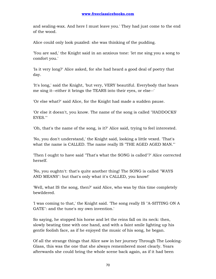and sealing-wax. And here I must leave you.' They had just come to the end of the wood.

Alice could only look puzzled: she was thinking of the pudding.

'You are sad,' the Knight said in an anxious tone: 'let me sing you a song to comfort you.'

'Is it very long?' Alice asked, for she had heard a good deal of poetry that day.

'It's long,' said the Knight, 'but very, VERY beautiful. Everybody that hears me sing it--either it brings the TEARS into their eyes, or else--'

'Or else what?' said Alice, for the Knight had made a sudden pause.

'Or else it doesn't, you know. The name of the song is called "HADDOCKS' EYES."'

'Oh, that's the name of the song, is it?' Alice said, trying to feel interested.

'No, you don't understand,' the Knight said, looking a little vexed. 'That's what the name is CALLED. The name really IS "THE AGED AGED MAN."'

'Then I ought to have said "That's what the SONG is called"?' Alice corrected herself.

'No, you oughtn't: that's quite another thing! The SONG is called "WAYS AND MEANS": but that's only what it's CALLED, you know!'

'Well, what IS the song, then?' said Alice, who was by this time completely bewildered.

'I was coming to that,' the Knight said. 'The song really IS "A-SITTING ON A GATE": and the tune's my own invention.'

So saying, he stopped his horse and let the reins fall on its neck: then, slowly beating time with one hand, and with a faint smile lighting up his gentle foolish face, as if he enjoyed the music of his song, he began.

Of all the strange things that Alice saw in her journey Through The Looking-Glass, this was the one that she always remembered most clearly. Years afterwards she could bring the whole scene back again, as if it had been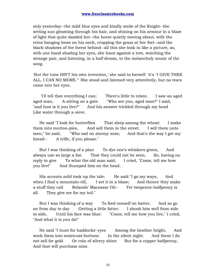only yesterday--the mild blue eyes and kindly smile of the Knight--the setting sun gleaming through his hair, and shining on his armour in a blaze of light that quite dazzled her--the horse quietly moving about, with the reins hanging loose on his neck, cropping the grass at her feet--and the black shadows of the forest behind--all this she took in like a picture, as, with one hand shading her eyes, she leant against a tree, watching the strange pair, and listening, in a half dream, to the melancholy music of the song.

'But the tune ISN'T his own invention,' she said to herself: 'it's "I GIVE THEE ALL, I CAN NO MORE."' She stood and listened very attentively, but no tears came into her eyes.

 'I'll tell thee everything I can; There's little to relate. I saw an aged aged man, A-sitting on a gate. "Who are you, aged man?" I said, "and how is it you live?" And his answer trickled through my head Like water through a sieve.

 He said "I look for butterflies That sleep among the wheat: I make them into mutton-pies, And sell them in the street. I sell them unto men," he said, "Who sail on stormy seas; And that's the way I get my bread-- A trifle, if you please."

 But I was thinking of a plan To dye one's whiskers green, And always use so large a fan That they could not be seen. So, having no reply to give To what the old man said, I cried, "Come, tell me how you live!" And thumped him on the head.

 His accents mild took up the tale: He said "I go my ways, And when I find a mountain-rill, I set it in a blaze; And thence they make a stuff they call Rolands' Macassar Oil-- Yet twopence-halfpenny is all They give me for my toil."

 But I was thinking of a way To feed oneself on batter, And so go on from day to day Getting a little fatter. I shook him well from side to side, Until his face was blue: "Come, tell me how you live," I cried, "And what it is you do!"

 He said "I hunt for haddocks' eyes Among the heather bright, And work them into waistcoat-buttons In the silent night. And these I do not sell for gold Or coin of silvery shine But for a copper halfpenny, And that will purchase nine.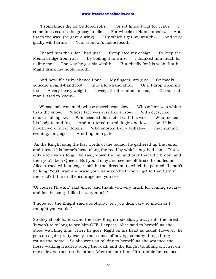"I sometimes dig for buttered rolls, Or set limed twigs for crabs; I sometimes search the grassy knolls For wheels of Hansom-cabs. And that's the way" (he gave a wink) "By which I get my wealth-- And very gladly will I drink Your Honour's noble health."

I heard him then, for I had just Completed my design To keep the Menai bridge from rust By boiling it in wine. I thanked him much for telling me The way he got his wealth, But chiefly for his wish that he Might drink my noble health.

And now, if e'er by chance I put My fingers into glue Or madly squeeze a right-hand foot Into a left-hand shoe, Or if I drop upon my toe A very heavy weight, I weep, for it reminds me so, Of that old man I used to know--

 Whose look was mild, whose speech was slow, Whose hair was whiter than the snow, Whose face was very like a crow, With eyes, like cinders, all aglow, Who seemed distracted with his woe, Who rocked his body to and fro, And muttered mumblingly and low, As if his mouth were full of dough, Who snorted like a buffalo-- That summer evening, long ago, A-sitting on a gate.'

 As the Knight sang the last words of the ballad, he gathered up the reins, and turned his horse's head along the road by which they had come. 'You've only a few yards to go,' he said, 'down the hill and over that little brook, and then you'll be a Queen--But you'll stay and see me off first?' he added as Alice turned with an eager look in the direction to which he pointed. 'I shan't be long. You'll wait and wave your handkerchief when I get to that turn in the road? I think it'll encourage me, you see.'

'Of course I'll wait,' said Alice: 'and thank you very much for coming so far- and for the song--I liked it very much.'

'I hope so,' the Knight said doubtfully: 'but you didn't cry so much as I thought you would.'

So they shook hands, and then the Knight rode slowly away into the forest. 'It won't take long to see him OFF, I expect,' Alice said to herself, as she stood watching him. 'There he goes! Right on his head as usual! However, he gets on again pretty easily--that comes of having so many things hung round the horse--' So she went on talking to herself, as she watched the horse walking leisurely along the road, and the Knight tumbling off, first on one side and then on the other. After the fourth or fifth tumble he reached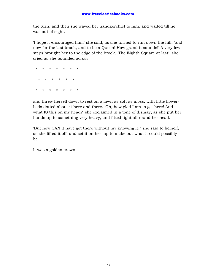the turn, and then she waved her handkerchief to him, and waited till he was out of sight.

'I hope it encouraged him,' she said, as she turned to run down the hill: 'and now for the last brook, and to be a Queen! How grand it sounds!' A very few steps brought her to the edge of the brook. 'The Eighth Square at last!' she cried as she bounded across,

 \* \* \* \* \* \* \* \* \* \* \* \* \* \* \* \* \* \* \* \*

and threw herself down to rest on a lawn as soft as moss, with little flowerbeds dotted about it here and there. 'Oh, how glad I am to get here! And what IS this on my head?' she exclaimed in a tone of dismay, as she put her hands up to something very heavy, and fitted tight all round her head.

'But how CAN it have got there without my knowing it?' she said to herself, as she lifted it off, and set it on her lap to make out what it could possibly be.

It was a golden crown.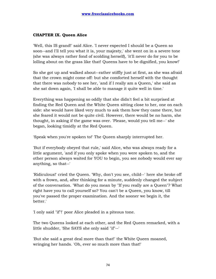## **CHAPTER IX. Queen Alice**

'Well, this IS grand!' said Alice. 'I never expected I should be a Queen so soon--and I'll tell you what it is, your majesty,' she went on in a severe tone (she was always rather fond of scolding herself), 'it'll never do for you to be lolling about on the grass like that! Queens have to be dignified, you know!'

So she got up and walked about--rather stiffly just at first, as she was afraid that the crown might come off: but she comforted herself with the thought that there was nobody to see her, 'and if I really am a Queen,' she said as she sat down again, 'I shall be able to manage it quite well in time.'

Everything was happening so oddly that she didn't feel a bit surprised at finding the Red Queen and the White Queen sitting close to her, one on each side: she would have liked very much to ask them how they came there, but she feared it would not be quite civil. However, there would be no harm, she thought, in asking if the game was over. 'Please, would you tell me--' she began, looking timidly at the Red Queen.

'Speak when you're spoken to!' The Queen sharply interrupted her.

'But if everybody obeyed that rule,' said Alice, who was always ready for a little argument, 'and if you only spoke when you were spoken to, and the other person always waited for YOU to begin, you see nobody would ever say anything, so that--'

'Ridiculous!' cried the Queen. 'Why, don't you see, child--' here she broke off with a frown, and, after thinking for a minute, suddenly changed the subject of the conversation. 'What do you mean by "If you really are a Queen"? What right have you to call yourself so? You can't be a Queen, you know, till you've passed the proper examination. And the sooner we begin it, the better.'

'I only said "if"!' poor Alice pleaded in a piteous tone.

The two Queens looked at each other, and the Red Queen remarked, with a little shudder, 'She SAYS she only said "if"--'

'But she said a great deal more than that!' the White Queen moaned, wringing her hands. 'Oh, ever so much more than that!'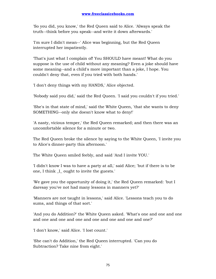'So you did, you know,' the Red Queen said to Alice. 'Always speak the truth--think before you speak--and write it down afterwards.'

'I'm sure I didn't mean--' Alice was beginning, but the Red Queen interrupted her impatiently.

'That's just what I complain of! You SHOULD have meant! What do you suppose is the use of child without any meaning? Even a joke should have some meaning--and a child's more important than a joke, I hope. You couldn't deny that, even if you tried with both hands.'

'I don't deny things with my HANDS,' Alice objected.

'Nobody said you did,' said the Red Queen. 'I said you couldn't if you tried.'

'She's in that state of mind,' said the White Queen, 'that she wants to deny SOMETHING--only she doesn't know what to deny!'

'A nasty, vicious temper,' the Red Queen remarked; and then there was an uncomfortable silence for a minute or two.

The Red Queen broke the silence by saying to the White Queen, 'I invite you to Alice's dinner-party this afternoon.'

The White Queen smiled feebly, and said 'And I invite YOU.'

'I didn't know I was to have a party at all,' said Alice; 'but if there is to be one, I think \_I\_ ought to invite the guests.'

'We gave you the opportunity of doing it,' the Red Queen remarked: 'but I daresay you've not had many lessons in manners yet?'

'Manners are not taught in lessons,' said Alice. 'Lessons teach you to do sums, and things of that sort.'

'And you do Addition?' the White Queen asked. 'What's one and one and one and one and one and one and one and one and one and one?'

'I don't know,' said Alice. 'I lost count.'

'She can't do Addition,' the Red Queen interrupted. 'Can you do Subtraction? Take nine from eight.'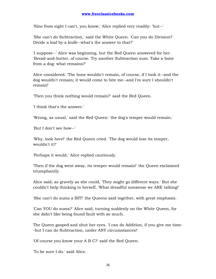'Nine from eight I can't, you know,' Alice replied very readily: 'but--'

'She can't do Subtraction,' said the White Queen. 'Can you do Division? Divide a loaf by a knife--what's the answer to that?'

'I suppose--' Alice was beginning, but the Red Queen answered for her. 'Bread-and-butter, of course. Try another Subtraction sum. Take a bone from a dog: what remains?'

Alice considered. 'The bone wouldn't remain, of course, if I took it--and the dog wouldn't remain; it would come to bite me--and I'm sure I shouldn't remain!'

'Then you think nothing would remain?' said the Red Queen.

'I think that's the answer.'

'Wrong, as usual,' said the Red Queen: 'the dog's temper would remain.'

'But I don't see how--'

'Why, look here!' the Red Queen cried. 'The dog would lose its temper, wouldn't it?'

'Perhaps it would,' Alice replied cautiously.

'Then if the dog went away, its temper would remain!' the Queen exclaimed triumphantly.

Alice said, as gravely as she could, 'They might go different ways.' But she couldn't help thinking to herself, 'What dreadful nonsense we ARE talking!'

'She can't do sums a BIT!' the Queens said together, with great emphasis.

'Can YOU do sums?' Alice said, turning suddenly on the White Queen, for she didn't like being found fault with so much.

The Queen gasped and shut her eyes. 'I can do Addition, if you give me time- -but I can do Subtraction, under ANY circumstances!'

'Of course you know your A B C?' said the Red Queen.

'To be sure I do.' said Alice.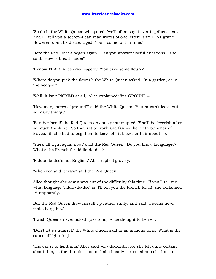'So do I,' the White Queen whispered: 'we'll often say it over together, dear. And I'll tell you a secret--I can read words of one letter! Isn't THAT grand! However, don't be discouraged. You'll come to it in time.'

Here the Red Queen began again. 'Can you answer useful questions?' she said. 'How is bread made?'

'I know THAT!' Alice cried eagerly. 'You take some flour--'

'Where do you pick the flower?' the White Queen asked. 'In a garden, or in the hedges?'

'Well, it isn't PICKED at all,' Alice explained: 'it's GROUND--'

'How many acres of ground?' said the White Queen. 'You mustn't leave out so many things.'

'Fan her head!' the Red Queen anxiously interrupted. 'She'll be feverish after so much thinking.' So they set to work and fanned her with bunches of leaves, till she had to beg them to leave off, it blew her hair about so.

'She's all right again now,' said the Red Queen. 'Do you know Languages? What's the French for fiddle-de-dee?'

'Fiddle-de-dee's not English,' Alice replied gravely.

'Who ever said it was?' said the Red Queen.

Alice thought she saw a way out of the difficulty this time. 'If you'll tell me what language "fiddle-de-dee" is, I'll tell you the French for it!' she exclaimed triumphantly.

But the Red Queen drew herself up rather stiffly, and said 'Queens never make bargains.'

'I wish Queens never asked questions,' Alice thought to herself.

'Don't let us quarrel,' the White Queen said in an anxious tone. 'What is the cause of lightning?'

'The cause of lightning,' Alice said very decidedly, for she felt quite certain about this, 'is the thunder--no, no!' she hastily corrected herself. 'I meant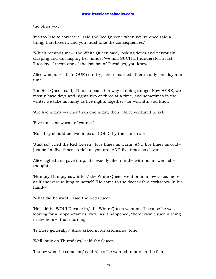the other way.'

'It's too late to correct it,' said the Red Queen: 'when you've once said a thing, that fixes it, and you must take the consequences.'

'Which reminds me--' the White Queen said, looking down and nervously clasping and unclasping her hands, 'we had SUCH a thunderstorm last Tuesday--I mean one of the last set of Tuesdays, you know.'

Alice was puzzled. 'In OUR country,' she remarked, 'there's only one day at a time.'

The Red Queen said, 'That's a poor thin way of doing things. Now HERE, we mostly have days and nights two or three at a time, and sometimes in the winter we take as many as five nights together--for warmth, you know.'

'Are five nights warmer than one night, then?' Alice ventured to ask.

'Five times as warm, of course.'

'But they should be five times as COLD, by the same rule--'

'Just so!' cried the Red Queen. 'Five times as warm, AND five times as cold- just as I'm five times as rich as you are, AND five times as clever!'

Alice sighed and gave it up. 'It's exactly like a riddle with no answer!' she thought.

'Humpty Dumpty saw it too,' the White Queen went on in a low voice, more as if she were talking to herself. 'He came to the door with a corkscrew in his hand--'

'What did he want?' said the Red Queen.

'He said he WOULD come in,' the White Queen went on, 'because he was looking for a hippopotamus. Now, as it happened, there wasn't such a thing in the house, that morning.'

'Is there generally?' Alice asked in an astonished tone.

'Well, only on Thursdays,' said the Queen.

'I know what he came for,' said Alice: 'he wanted to punish the fish,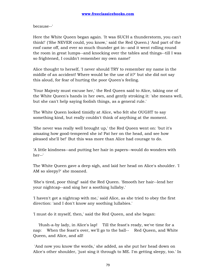because--'

Here the White Queen began again. 'It was SUCH a thunderstorm, you can't think!' ('She NEVER could, you know,' said the Red Queen.) 'And part of the roof came off, and ever so much thunder got in--and it went rolling round the room in great lumps--and knocking over the tables and things--till I was so frightened, I couldn't remember my own name!'

Alice thought to herself, 'I never should TRY to remember my name in the middle of an accident! Where would be the use of it?' but she did not say this aloud, for fear of hurting the poor Queen's feeling.

'Your Majesty must excuse her,' the Red Queen said to Alice, taking one of the White Queen's hands in her own, and gently stroking it: 'she means well, but she can't help saying foolish things, as a general rule.'

The White Queen looked timidly at Alice, who felt she OUGHT to say something kind, but really couldn't think of anything at the moment.

'She never was really well brought up,' the Red Queen went on: 'but it's amazing how good-tempered she is! Pat her on the head, and see how pleased she'll be!' But this was more than Alice had courage to do.

'A little kindness--and putting her hair in papers--would do wonders with her--'

The White Queen gave a deep sigh, and laid her head on Alice's shoulder. 'I AM so sleepy?' she moaned.

'She's tired, poor thing!' said the Red Queen. 'Smooth her hair--lend her your nightcap--and sing her a soothing lullaby.'

'I haven't got a nightcap with me,' said Alice, as she tried to obey the first direction: 'and I don't know any soothing lullabies.'

'I must do it myself, then,' said the Red Queen, and she began:

 'Hush-a-by lady, in Alice's lap! Till the feast's ready, we've time for a nap: When the feast's over, we'll go to the ball-- Red Queen, and White Queen, and Alice, and all!

 'And now you know the words,' she added, as she put her head down on Alice's other shoulder, 'just sing it through to ME. I'm getting sleepy, too.' In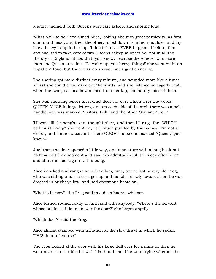another moment both Queens were fast asleep, and snoring loud.

'What AM I to do?' exclaimed Alice, looking about in great perplexity, as first one round head, and then the other, rolled down from her shoulder, and lay like a heavy lump in her lap. 'I don't think it EVER happened before, that any one had to take care of two Queens asleep at once! No, not in all the History of England--it couldn't, you know, because there never was more than one Queen at a time. Do wake up, you heavy things!' she went on in an impatient tone; but there was no answer but a gentle snoring.

The snoring got more distinct every minute, and sounded more like a tune: at last she could even make out the words, and she listened so eagerly that, when the two great heads vanished from her lap, she hardly missed them.

She was standing before an arched doorway over which were the words QUEEN ALICE in large letters, and on each side of the arch there was a bellhandle; one was marked 'Visitors' Bell,' and the other 'Servants' Bell.'

'I'll wait till the song's over,' thought Alice, 'and then I'll ring--the--WHICH bell must I ring?' she went on, very much puzzled by the names. 'I'm not a visitor, and I'm not a servant. There OUGHT to be one marked "Queen," you know--'

Just then the door opened a little way, and a creature with a long beak put its head out for a moment and said 'No admittance till the week after next!' and shut the door again with a bang.

Alice knocked and rang in vain for a long time, but at last, a very old Frog, who was sitting under a tree, got up and hobbled slowly towards her: he was dressed in bright yellow, and had enormous boots on.

'What is it, now?' the Frog said in a deep hoarse whisper.

Alice turned round, ready to find fault with anybody. 'Where's the servant whose business it is to answer the door?' she began angrily.

'Which door?' said the Frog.

Alice almost stamped with irritation at the slow drawl in which he spoke. 'THIS door, of course!'

The Frog looked at the door with his large dull eyes for a minute: then he went nearer and rubbed it with his thumb, as if he were trying whether the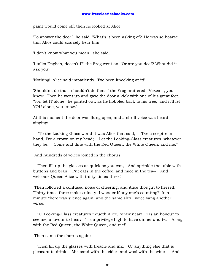paint would come off; then he looked at Alice.

'To answer the door?' he said. 'What's it been asking of?' He was so hoarse that Alice could scarcely hear him.

'I don't know what you mean,' she said.

'I talks English, doesn't I?' the Frog went on. 'Or are you deaf? What did it ask you?'

'Nothing!' Alice said impatiently. 'I've been knocking at it!'

'Shouldn't do that--shouldn't do that--' the Frog muttered. 'Vexes it, you know.' Then he went up and gave the door a kick with one of his great feet. 'You let IT alone,' he panted out, as he hobbled back to his tree, 'and it'll let YOU alone, you know.'

At this moment the door was flung open, and a shrill voice was heard singing:

 'To the Looking-Glass world it was Alice that said, "I've a sceptre in hand, I've a crown on my head; Let the Looking-Glass creatures, whatever they be, Come and dine with the Red Queen, the White Queen, and me."'

And hundreds of voices joined in the chorus:

 'Then fill up the glasses as quick as you can, And sprinkle the table with buttons and bran: Put cats in the coffee, and mice in the tea-- And welcome Queen Alice with thirty-times-three!'

 Then followed a confused noise of cheering, and Alice thought to herself, 'Thirty times three makes ninety. I wonder if any one's counting?' In a minute there was silence again, and the same shrill voice sang another verse;

 '"O Looking-Glass creatures," quoth Alice, "draw near! 'Tis an honour to see me, a favour to hear: 'Tis a privilege high to have dinner and tea Along with the Red Queen, the White Queen, and me!"'

Then came the chorus again:--

 'Then fill up the glasses with treacle and ink, Or anything else that is pleasant to drink: Mix sand with the cider, and wool with the wine-- And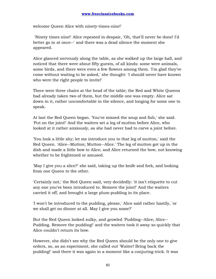welcome Queen Alice with ninety-times-nine!'

 'Ninety times nine!' Alice repeated in despair, 'Oh, that'll never be done! I'd better go in at once--' and there was a dead silence the moment she appeared.

Alice glanced nervously along the table, as she walked up the large hall, and noticed that there were about fifty guests, of all kinds: some were animals, some birds, and there were even a few flowers among them. 'I'm glad they've come without waiting to be asked,' she thought: 'I should never have known who were the right people to invite!'

There were three chairs at the head of the table; the Red and White Queens had already taken two of them, but the middle one was empty. Alice sat down in it, rather uncomfortable in the silence, and longing for some one to speak.

At last the Red Queen began. 'You've missed the soup and fish,' she said. 'Put on the joint!' And the waiters set a leg of mutton before Alice, who looked at it rather anxiously, as she had never had to carve a joint before.

'You look a little shy; let me introduce you to that leg of mutton,' said the Red Queen. 'Alice--Mutton; Mutton--Alice.' The leg of mutton got up in the dish and made a little bow to Alice; and Alice returned the bow, not knowing whether to be frightened or amused.

'May I give you a slice?' she said, taking up the knife and fork, and looking from one Queen to the other.

'Certainly not,' the Red Queen said, very decidedly: 'it isn't etiquette to cut any one you've been introduced to. Remove the joint!' And the waiters carried it off, and brought a large plum-pudding in its place.

'I won't be introduced to the pudding, please,' Alice said rather hastily, 'or we shall get no dinner at all. May I give you some?'

But the Red Queen looked sulky, and growled 'Pudding--Alice; Alice-- Pudding. Remove the pudding!' and the waiters took it away so quickly that Alice couldn't return its bow.

However, she didn't see why the Red Queen should be the only one to give orders, so, as an experiment, she called out 'Waiter! Bring back the pudding!' and there it was again in a moment like a conjuring-trick. It was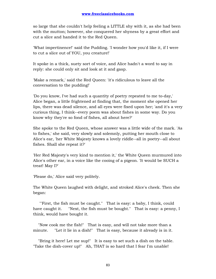so large that she couldn't help feeling a LITTLE shy with it, as she had been with the mutton; however, she conquered her shyness by a great effort and cut a slice and handed it to the Red Queen.

'What impertinence!' said the Pudding. 'I wonder how you'd like it, if I were to cut a slice out of YOU, you creature!'

It spoke in a thick, suety sort of voice, and Alice hadn't a word to say in reply: she could only sit and look at it and gasp.

'Make a remark,' said the Red Queen: 'it's ridiculous to leave all the conversation to the pudding!'

'Do you know, I've had such a quantity of poetry repeated to me to-day,' Alice began, a little frightened at finding that, the moment she opened her lips, there was dead silence, and all eyes were fixed upon her; 'and it's a very curious thing, I think--every poem was about fishes in some way. Do you know why they're so fond of fishes, all about here?'

She spoke to the Red Queen, whose answer was a little wide of the mark. 'As to fishes,' she said, very slowly and solemnly, putting her mouth close to Alice's ear, 'her White Majesty knows a lovely riddle--all in poetry--all about fishes. Shall she repeat it?'

'Her Red Majesty's very kind to mention it,' the White Queen murmured into Alice's other ear, in a voice like the cooing of a pigeon. 'It would be SUCH a treat! May I?'

'Please do,' Alice said very politely.

The White Queen laughed with delight, and stroked Alice's cheek. Then she began:

 '"First, the fish must be caught." That is easy: a baby, I think, could have caught it. "Next, the fish must be bought." That is easy: a penny, I think, would have bought it.

 "Now cook me the fish!" That is easy, and will not take more than a minute. "Let it lie in a dish!" That is easy, because it already is in it.

 "Bring it here! Let me sup!" It is easy to set such a dish on the table. "Take the dish-cover up!" Ah, THAT is so hard that I fear I'm unable!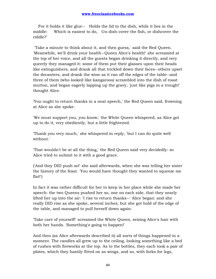For it holds it like glue-- Holds the lid to the dish, while it lies in the middle: Which is easiest to do, Un-dish-cover the fish, or dishcover the riddle?'

 'Take a minute to think about it, and then guess,' said the Red Queen. 'Meanwhile, we'll drink your health--Queen Alice's health!' she screamed at the top of her voice, and all the guests began drinking it directly, and very queerly they managed it: some of them put their glasses upon their heads like extinguishers, and drank all that trickled down their faces--others upset the decanters, and drank the wine as it ran off the edges of the table--and three of them (who looked like kangaroos) scrambled into the dish of roast mutton, and began eagerly lapping up the gravy, 'just like pigs in a trough!' thought Alice.

'You ought to return thanks in a neat speech,' the Red Queen said, frowning at Alice as she spoke.

'We must support you, you know,' the White Queen whispered, as Alice got up to do it, very obediently, but a little frightened.

'Thank you very much,' she whispered in reply, 'but I can do quite well without.'

'That wouldn't be at all the thing,' the Red Queen said very decidedly: so Alice tried to submit to it with a good grace.

('And they DID push so!' she said afterwards, when she was telling her sister the history of the feast. 'You would have thought they wanted to squeeze me flat!')

In fact it was rather difficult for her to keep in her place while she made her speech: the two Queens pushed her so, one on each side, that they nearly lifted her up into the air: 'I rise to return thanks--' Alice began: and she really DID rise as she spoke, several inches; but she got hold of the edge of the table, and managed to pull herself down again.

'Take care of yourself!' screamed the White Queen, seizing Alice's hair with both her hands. 'Something's going to happen!'

And then (as Alice afterwards described it) all sorts of things happened in a moment. The candles all grew up to the ceiling, looking something like a bed of rushes with fireworks at the top. As to the bottles, they each took a pair of plates, which they hastily fitted on as wings, and so, with forks for legs,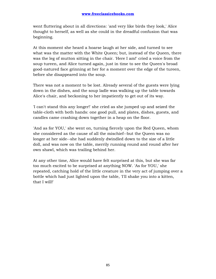went fluttering about in all directions: 'and very like birds they look,' Alice thought to herself, as well as she could in the dreadful confusion that was beginning.

At this moment she heard a hoarse laugh at her side, and turned to see what was the matter with the White Queen; but, instead of the Queen, there was the leg of mutton sitting in the chair. 'Here I am!' cried a voice from the soup tureen, and Alice turned again, just in time to see the Queen's broad good-natured face grinning at her for a moment over the edge of the tureen, before she disappeared into the soup.

There was not a moment to be lost. Already several of the guests were lying down in the dishes, and the soup ladle was walking up the table towards Alice's chair, and beckoning to her impatiently to get out of its way.

'I can't stand this any longer!' she cried as she jumped up and seized the table-cloth with both hands: one good pull, and plates, dishes, guests, and candles came crashing down together in a heap on the floor.

'And as for YOU,' she went on, turning fiercely upon the Red Queen, whom she considered as the cause of all the mischief--but the Queen was no longer at her side--she had suddenly dwindled down to the size of a little doll, and was now on the table, merrily running round and round after her own shawl, which was trailing behind her.

At any other time, Alice would have felt surprised at this, but she was far too much excited to be surprised at anything NOW. 'As for YOU,' she repeated, catching hold of the little creature in the very act of jumping over a bottle which had just lighted upon the table, 'I'll shake you into a kitten, that I will!'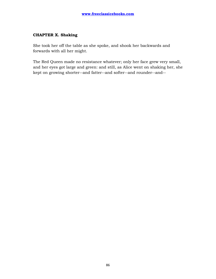## **CHAPTER X. Shaking**

She took her off the table as she spoke, and shook her backwards and forwards with all her might.

The Red Queen made no resistance whatever; only her face grew very small, and her eyes got large and green: and still, as Alice went on shaking her, she kept on growing shorter--and fatter--and softer--and rounder--and--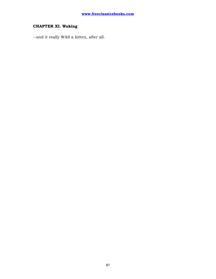## **CHAPTER XI. Waking**

--and it really WAS a kitten, after all.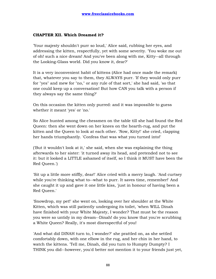## **CHAPTER XII. Which Dreamed it?**

'Your majesty shouldn't purr so loud,' Alice said, rubbing her eyes, and addressing the kitten, respectfully, yet with some severity. 'You woke me out of oh! such a nice dream! And you've been along with me, Kitty--all through the Looking-Glass world. Did you know it, dear?'

It is a very inconvenient habit of kittens (Alice had once made the remark) that, whatever you say to them, they ALWAYS purr. 'If they would only purr for "yes" and mew for "no," or any rule of that sort,' she had said, 'so that one could keep up a conversation! But how CAN you talk with a person if they always say the same thing?'

On this occasion the kitten only purred: and it was impossible to guess whether it meant 'yes' or 'no.'

So Alice hunted among the chessmen on the table till she had found the Red Queen: then she went down on her knees on the hearth-rug, and put the kitten and the Queen to look at each other. 'Now, Kitty!' she cried, clapping her hands triumphantly. 'Confess that was what you turned into!'

('But it wouldn't look at it,' she said, when she was explaining the thing afterwards to her sister: 'it turned away its head, and pretended not to see it: but it looked a LITTLE ashamed of itself, so I think it MUST have been the Red Queen.')

'Sit up a little more stiffly, dear!' Alice cried with a merry laugh. 'And curtsey while you're thinking what to--what to purr. It saves time, remember!' And she caught it up and gave it one little kiss, 'just in honour of having been a Red Queen.'

'Snowdrop, my pet!' she went on, looking over her shoulder at the White Kitten, which was still patiently undergoing its toilet, 'when WILL Dinah have finished with your White Majesty, I wonder? That must be the reason you were so untidy in my dream--Dinah! do you know that you're scrubbing a White Queen? Really, it's most disrespectful of you!

'And what did DINAH turn to, I wonder?' she prattled on, as she settled comfortably down, with one elbow in the rug, and her chin in her hand, to watch the kittens. 'Tell me, Dinah, did you turn to Humpty Dumpty? I THINK you did--however, you'd better not mention it to your friends just yet,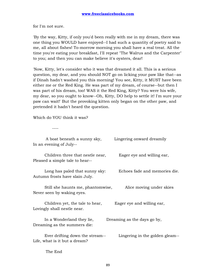for I'm not sure.

'By the way, Kitty, if only you'd been really with me in my dream, there was one thing you WOULD have enjoyed--I had such a quantity of poetry said to me, all about fishes! To-morrow morning you shall have a real treat. All the time you're eating your breakfast, I'll repeat "The Walrus and the Carpenter" to you; and then you can make believe it's oysters, dear!

'Now, Kitty, let's consider who it was that dreamed it all. This is a serious question, my dear, and you should NOT go on licking your paw like that--as if Dinah hadn't washed you this morning! You see, Kitty, it MUST have been either me or the Red King. He was part of my dream, of course--but then I was part of his dream, too! WAS it the Red King, Kitty? You were his wife, my dear, so you ought to know--Oh, Kitty, DO help to settle it! I'm sure your paw can wait!' But the provoking kitten only began on the other paw, and pretended it hadn't heard the question.

Which do YOU think it was?

----

| A boat beneath a sunny sky,<br>In an evening of July--              | Lingering onward dreamily       |
|---------------------------------------------------------------------|---------------------------------|
| Children three that nestle near,<br>Pleased a simple tale to hear-- | Eager eye and willing ear,      |
| Long has paled that sunny sky:<br>Autumn frosts have slain July.    | Echoes fade and memories die.   |
| Still she haunts me, phantomwise,<br>Never seen by waking eyes.     | Alice moving under skies        |
| Children yet, the tale to hear,<br>Lovingly shall nestle near.      | Eager eye and willing ear,      |
| In a Wonderland they lie,<br>Dreaming as the summers die:           | Dreaming as the days go by,     |
| Ever drifting down the stream--<br>Life, what is it but a dream?    | Lingering in the golden gleam-- |

The End